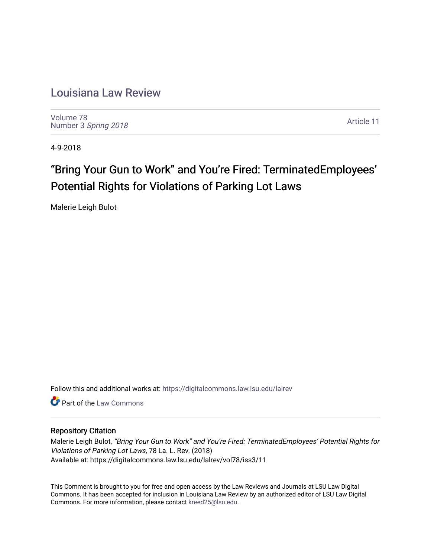# [Louisiana Law Review](https://digitalcommons.law.lsu.edu/lalrev)

[Volume 78](https://digitalcommons.law.lsu.edu/lalrev/vol78) Number 3 [Spring 2018](https://digitalcommons.law.lsu.edu/lalrev/vol78/iss3) 

[Article 11](https://digitalcommons.law.lsu.edu/lalrev/vol78/iss3/11) 

4-9-2018

# "Bring Your Gun to Work" and You're Fired: TerminatedEmployees' Potential Rights for Violations of Parking Lot Laws

Malerie Leigh Bulot

Follow this and additional works at: [https://digitalcommons.law.lsu.edu/lalrev](https://digitalcommons.law.lsu.edu/lalrev?utm_source=digitalcommons.law.lsu.edu%2Flalrev%2Fvol78%2Fiss3%2F11&utm_medium=PDF&utm_campaign=PDFCoverPages)

**C** Part of the [Law Commons](http://network.bepress.com/hgg/discipline/578?utm_source=digitalcommons.law.lsu.edu%2Flalrev%2Fvol78%2Fiss3%2F11&utm_medium=PDF&utm_campaign=PDFCoverPages)

# Repository Citation

Malerie Leigh Bulot, "Bring Your Gun to Work" and You're Fired: TerminatedEmployees' Potential Rights for Violations of Parking Lot Laws, 78 La. L. Rev. (2018) Available at: https://digitalcommons.law.lsu.edu/lalrev/vol78/iss3/11

This Comment is brought to you for free and open access by the Law Reviews and Journals at LSU Law Digital Commons. It has been accepted for inclusion in Louisiana Law Review by an authorized editor of LSU Law Digital Commons. For more information, please contact [kreed25@lsu.edu](mailto:kreed25@lsu.edu).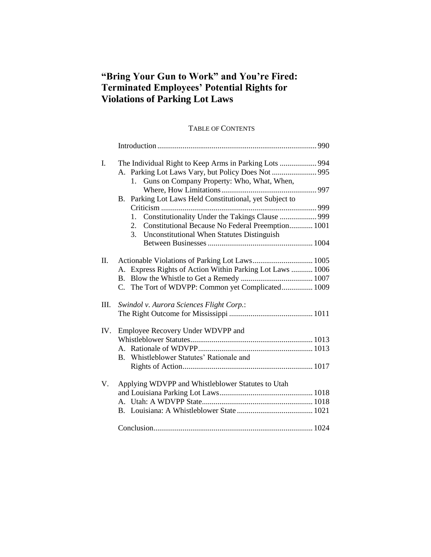# **"Bring Your Gun to Work" and You're Fired: Terminated Employees' Potential Rights for Violations of Parking Lot Laws**

# TABLE OF CONTENTS

| I.  | The Individual Right to Keep Arms in Parking Lots  994    |  |
|-----|-----------------------------------------------------------|--|
|     | A. Parking Lot Laws Vary, but Policy Does Not  995        |  |
|     | Guns on Company Property: Who, What, When,<br>1.          |  |
|     |                                                           |  |
|     | B. Parking Lot Laws Held Constitutional, yet Subject to   |  |
|     |                                                           |  |
|     | 1.                                                        |  |
|     | Constitutional Because No Federal Preemption 1001<br>2.   |  |
|     | 3. Unconstitutional When Statutes Distinguish             |  |
|     |                                                           |  |
|     |                                                           |  |
| Π.  |                                                           |  |
|     | A. Express Rights of Action Within Parking Lot Laws  1006 |  |
|     | <b>B.</b>                                                 |  |
|     | C. The Tort of WDVPP: Common yet Complicated 1009         |  |
|     |                                                           |  |
| Ш.  | Swindol v. Aurora Sciences Flight Corp.:                  |  |
|     |                                                           |  |
| IV. | Employee Recovery Under WDVPP and                         |  |
|     |                                                           |  |
|     |                                                           |  |
|     | B. Whistleblower Statutes' Rationale and                  |  |
|     |                                                           |  |
|     |                                                           |  |
| V.  | Applying WDVPP and Whistleblower Statutes to Utah         |  |
|     |                                                           |  |
|     |                                                           |  |
|     |                                                           |  |
|     |                                                           |  |
|     |                                                           |  |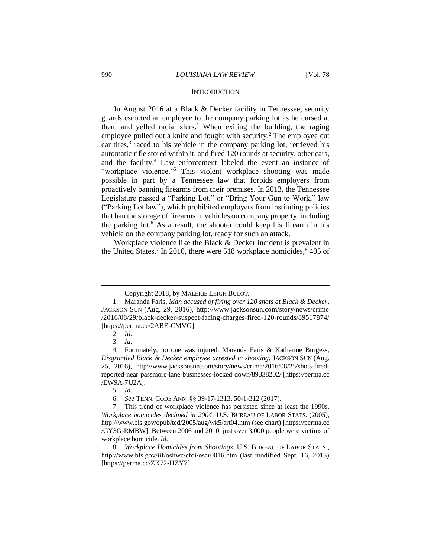#### **INTRODUCTION**

In August 2016 at a Black & Decker facility in Tennessee, security guards escorted an employee to the company parking lot as he cursed at them and yelled racial slurs.<sup>1</sup> When exiting the building, the raging employee pulled out a knife and fought with security.<sup>2</sup> The employee cut car tires,<sup>3</sup> raced to his vehicle in the company parking lot, retrieved his automatic rifle stored within it, and fired 120 rounds at security, other cars, and the facility.<sup>4</sup> Law enforcement labeled the event an instance of "workplace violence."<sup>5</sup> This violent workplace shooting was made possible in part by a Tennessee law that forbids employers from proactively banning firearms from their premises. In 2013, the Tennessee Legislature passed a "Parking Lot," or "Bring Your Gun to Work," law ("Parking Lot law"), which prohibited employers from instituting policies that ban the storage of firearms in vehicles on company property, including the parking lot.<sup>6</sup> As a result, the shooter could keep his firearm in his vehicle on the company parking lot, ready for such an attack.

Workplace violence like the Black & Decker incident is prevalent in the United States.<sup>7</sup> In 2010, there were 518 workplace homicides,<sup>8</sup> 405 of

Copyright 2018, by MALERIE LEIGH BULOT.

<sup>1.</sup> Maranda Faris, *Man accused of firing over 120 shots at Black & Decker*, JACKSON SUN (Aug. 29, 2016), http://www.jacksonsun.com/story/news/crime /2016/08/29/black-decker-suspect-facing-charges-fired-120-rounds/89517874/ [https://perma.cc/2ABE-CMVG].

<sup>2.</sup> *Id.*

<sup>3.</sup> *Id.*

<sup>4.</sup> Fortunately, no one was injured. Maranda Faris & Katherine Burgess, *Disgruntled Black & Decker employee arrested in shooting*, JACKSON SUN (Aug. 25, 2016), http://www.jacksonsun.com/story/news/crime/2016/08/25/shots-firedreported-near-passmore-lane-businesses-locked-down/89338202/ [https://perma.cc /EW9A-7U2A].

<sup>5.</sup> *Id.*

<sup>6.</sup> *See* TENN. CODE ANN. §§ 39-17-1313, 50-1-312 (2017).

<sup>7.</sup> This trend of workplace violence has persisted since at least the 1990s. *Workplace homicides declined in 2004*, U.S. BUREAU OF LABOR STATS. (2005), http://www.bls.gov/opub/ted/2005/aug/wk5/art04.htm (see chart) [https://perma.cc /GY3G-RMBW]. Between 2006 and 2010, just over 3,000 people were victims of workplace homicide. *Id.*

<sup>8.</sup> *Workplace Homicides from Shootings*, U.S. BUREAU OF LABOR STATS., http://www.bls.gov/iif/oshwc/cfoi/osar0016.htm (last modified Sept. 16, 2015) [https://perma.cc/ZK72-HZY7].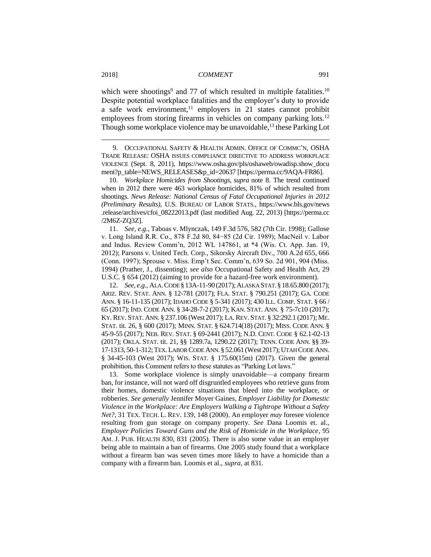which were shootings<sup>9</sup> and 77 of which resulted in multiple fatalities.<sup>10</sup> Despite potential workplace fatalities and the employer's duty to provide a safe work environment, $11$  employers in 21 states cannot prohibit employees from storing firearms in vehicles on company parking lots.<sup>12</sup> Though some workplace violence may be unavoidable,<sup>13</sup> these Parking Lot

9. OCCUPATIONAL SAFETY & HEALTH ADMIN. OFFICE OF COMMC'N, OSHA TRADE RELEASE: OSHA ISSUES COMPLIANCE DIRECTIVE TO ADDRESS WORKPLACE VIOLENCE (Sept. 8, 2011), https://www.osha.gov/pls/oshaweb/owadisp.show\_docu ment?p\_table=NEWS\_RELEASES&p\_id=20637 [https://perma.cc/9AQA-FR86].

10. *Workplace Homicides from Shootings*, *supra* note 8. The trend continued when in 2012 there were 463 workplace homicides, 81% of which resulted from shootings. *News Release: National Census of Fatal Occupational Injuries in 2012 (Preliminary Results)*, U.S. BUREAU OF LABOR STATS., [https://www.bls.gov/news](https://www.bls.gov/news.release/archives/cfoi_08222013.pdf) [.release/archives/cfoi\\_08222013.pdf](https://www.bls.gov/news.release/archives/cfoi_08222013.pdf) (last modified Aug. 22, 2013) [https://perma.cc /2M6Z-ZQ3Z].

11. *See, e.g.*, Taboas v. Mlynczak, 149 F.3d 576, 582 (7th Cir. 1998); Gallose v. Long Island R.R. Co., 878 F.2d 80, 84−85 (2d Cir. 1989); MacNeil v. Labor and Indus. Review Comm'n, 2012 WL 147861, at \*4 (Wis. Ct. App. Jan. 19, 2012); Parsons v. United Tech. Corp., Sikorsky Aircraft Div., 700 A.2d 655, 666 (Conn. 1997); Sprouse v. Miss. Emp't Sec. Comm'n, 639 So. 2d 901, 904 (Miss. 1994) (Prather, J., dissenting); *see also* Occupational Safety and Health Act, 29 U.S.C. § 654 (2012) (aiming to provide for a hazard-free work environment).

12. *See, e.g.*, ALA.CODE § 13A-11-90 (2017);ALASKA STAT.§ 18.65.800 (2017); ARIZ. REV. STAT. ANN. § 12-781 (2017); FLA. STAT. § 790.251 (2017); GA. CODE ANN. § 16-11-135 (2017); IDAHO CODE § 5-341 (2017); 430 ILL. COMP. STAT. § 66 / 65 (2017); IND. CODE ANN. § 34-28-7-2 (2017); KAN. STAT. ANN. § 75-7c10 (2017); KY. REV. STAT. ANN. § 237.106 (West 2017); LA. REV. STAT. § 32:292.1 (2017); ME. STAT. tit. 26, § 600 (2017); MINN. STAT. § 624.714(18) (2017); MISS. CODE ANN. § 45-9-55 (2017); NEB. REV. STAT. § 69-2441 (2017); N.D. CENT. CODE § 62.1-02-13 (2017); OKLA. STAT. tit. 21, §§ 1289.7a, 1290.22 (2017); TENN. CODE ANN. §§ 39- 17-1313, 50-1-312; TEX. LABOR CODE ANN. § 52.061 (West 2017); UTAH CODE ANN. § 34-45-103 (West 2017); WIS. STAT. § 175.60(15m) (2017). Given the general prohibition, this Comment refers to these statutes as "Parking Lot laws."

13. Some workplace violence is simply unavoidable—a company firearm ban, for instance, will not ward off disgruntled employees who retrieve guns from their homes, domestic violence situations that bleed into the workplace, or robberies. *See generally* Jennifer Moyer Gaines, *Employer Liability for Domestic Violence in the Workplace: Are Employers Walking a Tightrope Without a Safety Net?*, 31 TEX. TECH. L. REV. 139, 148 (2000). An employer *may* foresee violence resulting from gun storage on company property. *See* Dana Loomis et. al., *Employer Policies Toward Guns and the Risk of Homicide in the Workplace*, 95 AM. J. PUB. HEALTH 830, 831 (2005). There is also some value in an employer being able to maintain a ban of firearms. One 2005 study found that a workplace without a firearm ban was seven times more likely to have a homicide than a company with a firearm ban. Loomis et al., *supra*, at 831*.*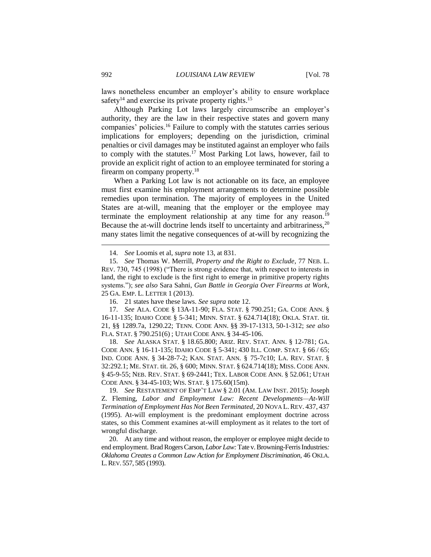laws nonetheless encumber an employer's ability to ensure workplace safety $14$  and exercise its private property rights.<sup>15</sup>

Although Parking Lot laws largely circumscribe an employer's authority, they are the law in their respective states and govern many companies' policies.<sup>16</sup> Failure to comply with the statutes carries serious implications for employers; depending on the jurisdiction, criminal penalties or civil damages may be instituted against an employer who fails to comply with the statutes.<sup>17</sup> Most Parking Lot laws, however, fail to provide an explicit right of action to an employee terminated for storing a firearm on company property.<sup>18</sup>

When a Parking Lot law is not actionable on its face, an employee must first examine his employment arrangements to determine possible remedies upon termination. The majority of employees in the United States are at-will, meaning that the employer or the employee may terminate the employment relationship at any time for any reason.<sup>19</sup> Because the at-will doctrine lends itself to uncertainty and arbitrariness,  $20$ many states limit the negative consequences of at-will by recognizing the

17. *See* ALA. CODE § 13A-11-90; FLA. STAT. § 790.251; GA. CODE ANN. § 16-11-135; IDAHO CODE § 5-341; MINN. STAT. § 624.714(18); OKLA. STAT. tit. 21, §§ 1289.7a, 1290.22; TENN. CODE ANN. §§ 39-17-1313, 50-1-312; *see also* FLA. STAT. § 790.251(6) ; UTAH CODE ANN. § 34-45-106.

18. *See* ALASKA STAT. § 18.65.800; ARIZ. REV. STAT. ANN. § 12-781; GA. CODE ANN. § 16-11-135; IDAHO CODE § 5-341; 430 ILL. COMP. STAT. § 66 / 65; IND. CODE ANN. § 34-28-7-2; KAN. STAT. ANN. § 75-7c10; LA. REV. STAT. § 32:292.1; ME. STAT. tit. 26, § 600; MINN. STAT. § 624.714(18); MISS. CODE ANN. § 45-9-55; NEB. REV. STAT. § 69-2441; TEX. LABOR CODE ANN. § 52.061; UTAH CODE ANN. § 34-45-103; WIS. STAT. § 175.60(15m).

19. *See* RESTATEMENT OF EMP'T LAW § 2.01 (AM. LAW INST. 2015); Joseph Z. Fleming, *Labor and Employment Law: Recent Developments—At-Will Termination of Employment Has Not Been Terminated*, 20 NOVA L. REV. 437, 437 (1995). At-will employment is the predominant employment doctrine across states, so this Comment examines at-will employment as it relates to the tort of wrongful discharge.

20. At any time and without reason, the employer or employee might decide to end employment. Brad Rogers Carson, *Labor Law:* Tate v. Browning-Ferris Industries*: Oklahoma Creates a Common Law Action for Employment Discrimination*, 46 OKLA. L.REV. 557, 585 (1993).

<sup>14.</sup> *See* Loomis et al, *supra* note 13, at 831*.*

<sup>15.</sup> *See* Thomas W. Merrill, *Property and the Right to Exclude*, 77 NEB. L. REV. 730, 745 (1998) ("There is strong evidence that, with respect to interests in land, the right to exclude is the first right to emerge in primitive property rights systems."); *see also* Sara Sahni, *Gun Battle in Georgia Over Firearms at Work*, 25 GA. EMP. L. LETTER 1 (2013).

<sup>16.</sup> 21 states have these laws. *See supra* note 12.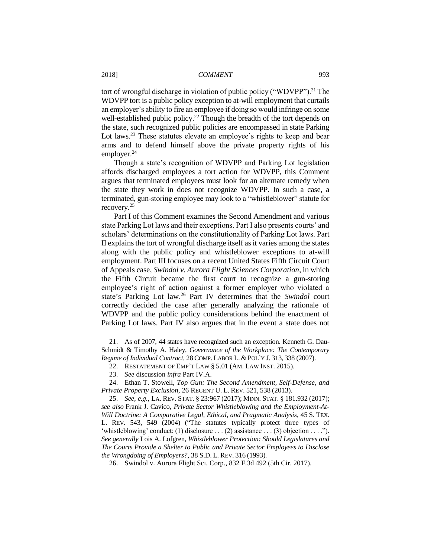tort of wrongful discharge in violation of public policy ("WDVPP").<sup>21</sup> The WDVPP tort is a public policy exception to at-will employment that curtails an employer's ability to fire an employee if doing so would infringe on some well-established public policy.<sup>22</sup> Though the breadth of the tort depends on the state, such recognized public policies are encompassed in state Parking Lot laws.<sup>23</sup> These statutes elevate an employee's rights to keep and bear arms and to defend himself above the private property rights of his employer. $^{24}$ 

Though a state's recognition of WDVPP and Parking Lot legislation affords discharged employees a tort action for WDVPP, this Comment argues that terminated employees must look for an alternate remedy when the state they work in does not recognize WDVPP. In such a case, a terminated, gun-storing employee may look to a "whistleblower" statute for recovery.<sup>25</sup>

Part I of this Comment examines the Second Amendment and various state Parking Lot laws and their exceptions. Part I also presents courts' and scholars' determinations on the constitutionality of Parking Lot laws. Part II explains the tort of wrongful discharge itself as it varies among the states along with the public policy and whistleblower exceptions to at-will employment. Part III focuses on a recent United States Fifth Circuit Court of Appeals case, *Swindol v. Aurora Flight Sciences Corporation*, in which the Fifth Circuit became the first court to recognize a gun-storing employee's right of action against a former employer who violated a state's Parking Lot law.<sup>26</sup> Part IV determines that the *Swindol* court correctly decided the case after generally analyzing the rationale of WDVPP and the public policy considerations behind the enactment of Parking Lot laws. Part IV also argues that in the event a state does not

<sup>21.</sup> As of 2007, 44 states have recognized such an exception. Kenneth G. Dau-Schmidt & Timothy A. Haley, *Governance of the Workplace: The Contemporary Regime of Individual Contract, 28 COMP. LABOR L. & POL'Y J. 313, 338 (2007).* 

<sup>22.</sup> RESTATEMENT OF EMP'T LAW § 5.01 (AM. LAW INST. 2015).

<sup>23.</sup> *See* discussion *infra* Part IV.A.

<sup>24.</sup> Ethan T. Stowell, *Top Gun: The Second Amendment, Self-Defense, and Private Property Exclusion*, 26 REGENT U. L. REV. 521, 538 (2013).

<sup>25.</sup> *See, e.g.*, LA. REV. STAT. § 23:967 (2017); MINN. STAT. § 181.932 (2017); *see also* Frank J. Cavico, *Private Sector Whistleblowing and the Employment-At-Will Doctrine: A Comparative Legal, Ethical, and Pragmatic Analysis*, 45 S. TEX. L. REV. 543, 549 (2004) ("The statutes typically protect three types of 'whistleblowing' conduct: (1) disclosure . . . (2) assistance . . . (3) objection . . . ."). *See generally* Lois A. Lofgren, *Whistleblower Protection: Should Legislatures and The Courts Provide a Shelter to Public and Private Sector Employees to Disclose the Wrongdoing of Employers?*, 38 S.D. L. REV. 316 (1993)*.*

<sup>26.</sup> Swindol v. Aurora Flight Sci. Corp., 832 F.3d 492 (5th Cir. 2017).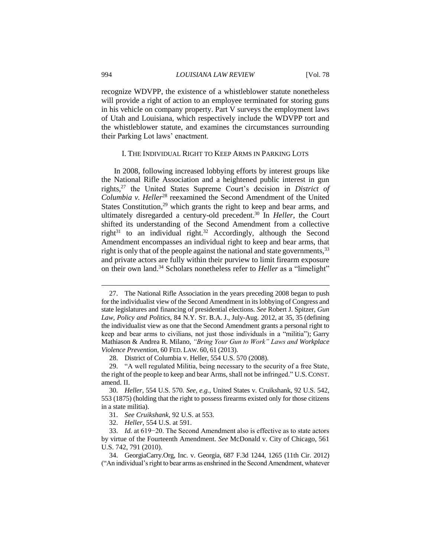recognize WDVPP, the existence of a whistleblower statute nonetheless will provide a right of action to an employee terminated for storing guns in his vehicle on company property. Part V surveys the employment laws of Utah and Louisiana, which respectively include the WDVPP tort and the whistleblower statute, and examines the circumstances surrounding their Parking Lot laws' enactment.

#### I. THE INDIVIDUAL RIGHT TO KEEP ARMS IN PARKING LOTS

In 2008, following increased lobbying efforts by interest groups like the National Rifle Association and a heightened public interest in gun rights,<sup>27</sup> the United States Supreme Court's decision in *District of Columbia v. Heller*<sup>28</sup> reexamined the Second Amendment of the United States Constitution, $29$  which grants the right to keep and bear arms, and ultimately disregarded a century-old precedent.<sup>30</sup> In *Heller*, the Court shifted its understanding of the Second Amendment from a collective right $31$  to an individual right.<sup>32</sup> Accordingly, although the Second Amendment encompasses an individual right to keep and bear arms, that right is only that of the people against the national and state governments,<sup>33</sup> and private actors are fully within their purview to limit firearm exposure on their own land.<sup>34</sup> Scholars nonetheless refer to *Heller* as a "limelight"

<sup>27.</sup> The National Rifle Association in the years preceding 2008 began to push for the individualist view of the Second Amendment in its lobbying of Congress and state legislatures and financing of presidential elections. *See* Robert J. Spitzer, *Gun Law, Policy and Politics*, 84 N.Y. ST. B.A. J., July-Aug. 2012, at 35, 35 (defining the individualist view as one that the Second Amendment grants a personal right to keep and bear arms to civilians, not just those individuals in a "militia"); Garry Mathiason & Andrea R. Milano, *"Bring Your Gun to Work" Laws and Workplace Violence Prevention*, 60 FED. LAW. 60, 61 (2013).

<sup>28.</sup> District of Columbia v. Heller, 554 U.S. 570 (2008).

<sup>29.</sup> "A well regulated Militia, being necessary to the security of a free State, the right of the people to keep and bear Arms, shall not be infringed." U.S. CONST. amend. II.

<sup>30.</sup> *Heller*, 554 U.S. 570. *See, e.g.*, United States v. Cruikshank, 92 U.S. 542, 553 (1875) (holding that the right to possess firearms existed only for those citizens in a state militia).

<sup>31.</sup> *See Cruikshank*, 92 U.S. at 553.

<sup>32.</sup> *Heller*, 554 U.S. at 591.

<sup>33.</sup> *Id.* at 619−20. The Second Amendment also is effective as to state actors by virtue of the Fourteenth Amendment. *See* McDonald v. City of Chicago, 561 U.S. 742, 791 (2010).

<sup>34.</sup> GeorgiaCarry.Org, Inc. v. Georgia, 687 F.3d 1244, 1265 (11th Cir. 2012) ("An individual's right to bear arms as enshrined in the Second Amendment, whatever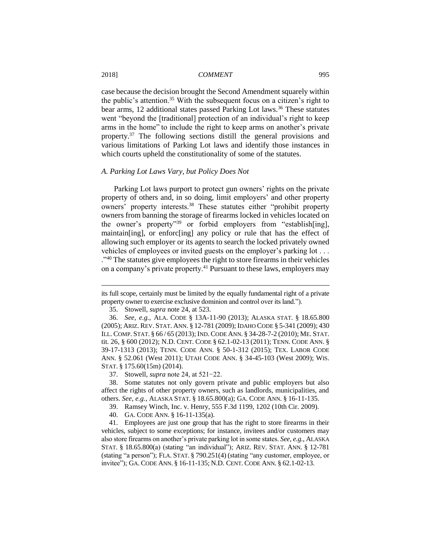case because the decision brought the Second Amendment squarely within the public's attention.<sup>35</sup> With the subsequent focus on a citizen's right to bear arms, 12 additional states passed Parking Lot laws.<sup>36</sup> These statutes went "beyond the [traditional] protection of an individual's right to keep arms in the home" to include the right to keep arms on another's private property.<sup>37</sup> The following sections distill the general provisions and various limitations of Parking Lot laws and identify those instances in which courts upheld the constitutionality of some of the statutes.

#### *A. Parking Lot Laws Vary, but Policy Does Not*

Parking Lot laws purport to protect gun owners' rights on the private property of others and, in so doing, limit employers' and other property owners' property interests.<sup>38</sup> These statutes either "prohibit property owners from banning the storage of firearms locked in vehicles located on the owner's property"<sup>39</sup> or forbid employers from "establish[ing], maintain[ing], or enforc[ing] any policy or rule that has the effect of allowing such employer or its agents to search the locked privately owned vehicles of employees or invited guests on the employer's parking lot . . . ."<sup>40</sup> The statutes give employees the right to store firearms in their vehicles on a company's private property.<sup>41</sup> Pursuant to these laws, employers may

its full scope, certainly must be limited by the equally fundamental right of a private property owner to exercise exclusive dominion and control over its land.").

<sup>35.</sup> Stowell, *supra* note 24, at 523.

<sup>36.</sup> *See, e.g.*, ALA. CODE § 13A-11-90 (2013); ALASKA STAT. § 18.65.800 (2005); ARIZ. REV. STAT. ANN. § 12-781 (2009); IDAHO CODE § 5-341 (2009); 430 ILL. COMP. STAT. § 66 / 65 (2013); IND. CODE ANN. § 34-28-7-2 (2010); ME. STAT. tit. 26, § 600 (2012); N.D. CENT. CODE § 62.1-02-13 (2011); TENN. CODE ANN. § 39-17-1313 (2013); TENN. CODE ANN. § 50-1-312 (2015); TEX. LABOR CODE ANN. § 52.061 (West 2011); UTAH CODE ANN. § 34-45-103 (West 2009); WIS. STAT. § 175.60(15m) (2014).

<sup>37.</sup> Stowell, *supra* note 24, at 521−22.

<sup>38.</sup> Some statutes not only govern private and public employers but also affect the rights of other property owners, such as landlords, municipalities, and others. *See, e.g.*, ALASKA STAT. § 18.65.800(a); GA. CODE ANN. § 16-11-135.

<sup>39.</sup> Ramsey Winch, Inc. v. Henry, 555 F.3d 1199, 1202 (10th Cir. 2009).

<sup>40.</sup> GA. CODE ANN. § 16-11-135(a).

<sup>41.</sup> Employees are just one group that has the right to store firearms in their vehicles, subject to some exceptions; for instance, invitees and/or customers may also store firearms on another's private parking lot in some states. *See, e.g.*, ALASKA STAT. § 18.65.800(a) (stating "an individual"); ARIZ. REV. STAT. ANN. § 12-781 (stating "a person"); FLA. STAT. § 790.251(4) (stating "any customer, employee, or invitee"); GA. CODE ANN. § 16-11-135; N.D. CENT. CODE ANN. § 62.1-02-13.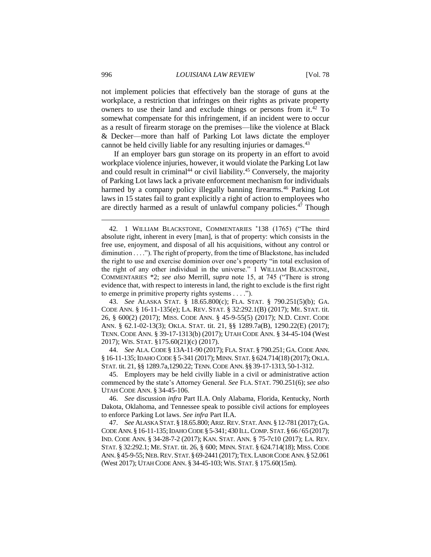not implement policies that effectively ban the storage of guns at the workplace, a restriction that infringes on their rights as private property owners to use their land and exclude things or persons from it.<sup>42</sup> To somewhat compensate for this infringement, if an incident were to occur as a result of firearm storage on the premises—like the violence at Black & Decker—more than half of Parking Lot laws dictate the employer cannot be held civilly liable for any resulting injuries or damages.<sup>43</sup>

If an employer bars gun storage on its property in an effort to avoid workplace violence injuries, however, it would violate the Parking Lot law and could result in criminal<sup>44</sup> or civil liability.<sup>45</sup> Conversely, the majority of Parking Lot laws lack a private enforcement mechanism for individuals harmed by a company policy illegally banning firearms.<sup>46</sup> Parking Lot laws in 15 states fail to grant explicitly a right of action to employees who are directly harmed as a result of unlawful company policies.<sup>47</sup> Though

43. *See* ALASKA STAT. § 18.65.800(c); FLA. STAT. § 790.251(5)(b); GA. CODE ANN. § 16-11-135(e); LA. REV. STAT. § 32:292.1(B) (2017); ME. STAT. tit. 26, § 600(2) (2017); MISS. CODE ANN. § 45-9-55(5) (2017); N.D. CENT. CODE ANN. § 62.1-02-13(3); OKLA. STAT. tit. 21, §§ 1289.7a(B), 1290.22(E) (2017); TENN. CODE ANN. § 39-17-1313(b) (2017); UTAH CODE ANN. § 34-45-104 (West 2017); WIS. STAT. §175.60(21)(c) (2017).

44. *See* ALA. CODE § 13A-11-90 (2017); FLA. STAT. § 790.251; GA. CODE ANN. § 16-11-135;IDAHO CODE § 5-341 (2017); MINN. STAT. § 624.714(18)(2017); OKLA. STAT. tit. 21, §§ 1289.7a,1290.22; TENN. CODE ANN. §§ 39-17-1313, 50-1-312.

45. Employers may be held civilly liable in a civil or administrative action commenced by the state's Attorney General. *See* FLA. STAT. 790.251(6); *see also*  UTAH CODE ANN. § 34-45-106.

46. *See* discussion *infra* Part II.A. Only Alabama, Florida, Kentucky, North Dakota, Oklahoma, and Tennessee speak to possible civil actions for employees to enforce Parking Lot laws. *See infra* Part II.A*.*

47. *See* ALASKA STAT.§ 18.65.800;ARIZ.REV.STAT.ANN.§ 12-781 (2017);GA. CODE ANN. § 16-11-135; IDAHO CODE § 5-341; 430 ILL. COMP. STAT. § 66/65 (2017); IND. CODE ANN. § 34-28-7-2 (2017); KAN. STAT. ANN. § 75-7c10 (2017); LA. REV. STAT. § 32:292.1; ME. STAT. tit. 26, § 600; MINN. STAT. § 624.714(18); MISS. CODE ANN.§ 45-9-55;NEB.REV.STAT. § 69-2441 (2017);TEX.LABOR CODE ANN.§ 52.061 (West 2017); UTAH CODE ANN. § 34-45-103;WIS. STAT. § 175.60(15m).

<sup>42</sup>*.* 1 WILLIAM BLACKSTONE, COMMENTARIES 138 (1765) ("The third absolute right, inherent in every [man], is that of property: which consists in the free use, enjoyment, and disposal of all his acquisitions, without any control or diminution . . . ."). The right of property, from the time of Blackstone, has included the right to use and exercise dominion over one's property "in total exclusion of the right of any other individual in the universe." 1 WILLIAM BLACKSTONE, COMMENTARIES \*2; *see also* Merrill, *supra* note 15, at 745 ("There is strong evidence that, with respect to interests in land, the right to exclude is the first right to emerge in primitive property rights systems . . . .").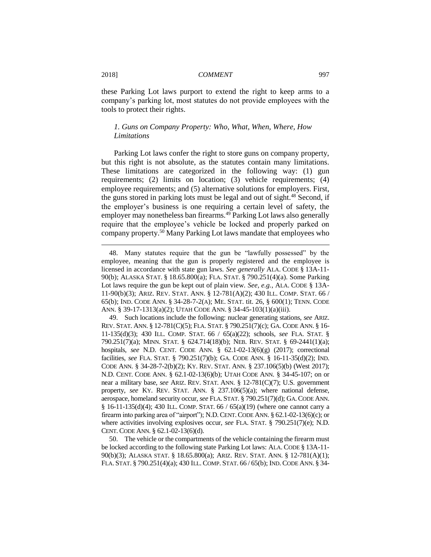these Parking Lot laws purport to extend the right to keep arms to a company's parking lot, most statutes do not provide employees with the tools to protect their rights.

## *1. Guns on Company Property: Who, What, When, Where, How Limitations*

Parking Lot laws confer the right to store guns on company property, but this right is not absolute, as the statutes contain many limitations. These limitations are categorized in the following way: (1) gun requirements; (2) limits on location; (3) vehicle requirements; (4) employee requirements; and (5) alternative solutions for employers. First, the guns stored in parking lots must be legal and out of sight.<sup>48</sup> Second, if the employer's business is one requiring a certain level of safety, the employer may nonetheless ban firearms.<sup>49</sup> Parking Lot laws also generally require that the employee's vehicle be locked and properly parked on company property.<sup>50</sup> Many Parking Lot laws mandate that employees who

50. The vehicle or the compartments of the vehicle containing the firearm must be locked according to the following state Parking Lot laws: ALA. CODE § 13A-11- 90(b)(3); ALASKA STAT. § 18.65.800(a); ARIZ. REV. STAT. ANN. § 12-781(A)(1); FLA. STAT. § 790.251(4)(a); 430 ILL. COMP. STAT. 66 / 65(b); IND. CODE ANN. § 34-

<sup>48.</sup> Many statutes require that the gun be "lawfully possessed" by the employee, meaning that the gun is properly registered and the employee is licensed in accordance with state gun laws. *See generally* ALA. CODE § 13A-11- 90(b); ALASKA STAT. § 18.65.800(a); FLA. STAT. § 790.251(4)(a). Some Parking Lot laws require the gun be kept out of plain view. *See, e.g.*, ALA. CODE § 13A-11-90(b)(3); ARIZ. REV. STAT. ANN. § 12-781(A)(2); 430 ILL. COMP. STAT. 66 / 65(b); IND. CODE ANN. § 34-28-7-2(A); ME. STAT. tit. 26, § 600(1); TENN. CODE ANN. § 39-17-1313(a)(2); UTAH CODE ANN. § 34-45-103(1)(a)(iii).

<sup>49.</sup> Such locations include the following: nuclear generating stations, *see* ARIZ. REV. STAT. ANN. § 12-781(C)(5); FLA. STAT. § 790.251(7)(c); GA. CODE ANN. § 16- 11-135(d)(3); 430 ILL. COMP. STAT. 66 / 65(a)(22); schools, *see* FLA. STAT. § 790.251(7)(a); MINN. STAT. § 624.714(18)(b); NEB. REV. STAT. § 69-2441(1)(a); hospitals, *see* N.D. CENT. CODE ANN. § 62.1-02-13(6)(g) (2017); correctional facilities, *see* FLA. STAT. § 790.251(7)(b); GA. CODE ANN. § 16-11-35(d)(2); IND. CODE ANN. § 34-28-7-2(b)(2); KY. REV. STAT. ANN. § 237.106(5)(b) (West 2017); N.D. CENT. CODE ANN. § 62.1-02-13(6)(b); UTAH CODE ANN. § 34-45-107; on or near a military base, *see* ARIZ. REV. STAT. ANN. § 12-781(C)(7); U.S. government property, *see* KY. REV. STAT. ANN. § 237.106(5)(a); where national defense, aerospace, homeland security occur, *see* FLA. STAT. § 790.251(7)(d); GA.CODE ANN. § 16-11-135(d)(4); 430 ILL. COMP. STAT. 66 / 65(a)(19) (where one cannot carry a firearm into parking area of "airport"); N.D. CENT. CODE ANN.  $\S 62.1-02-13(6)(c)$ ; or where activities involving explosives occur, *see* FLA. STAT. § 790.251(7)(e); N.D. CENT. CODE ANN. § 62.1-02-13(6)(d).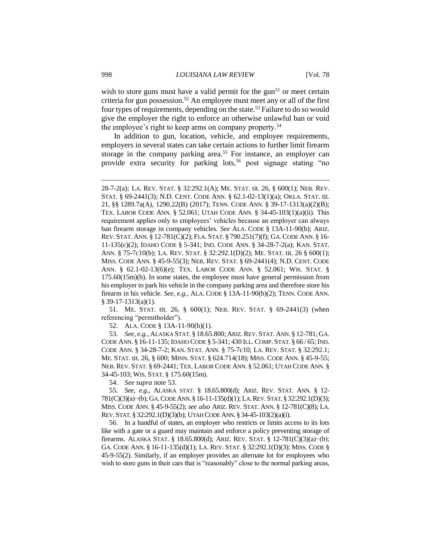wish to store guns must have a valid permit for the gun<sup>51</sup> or meet certain criteria for gun possession.<sup>52</sup> An employee must meet any or all of the first four types of requirements, depending on the state.<sup>53</sup> Failure to do so would give the employer the right to enforce an otherwise unlawful ban or void the employee's right to keep arms on company property.<sup>54</sup>

In addition to gun, location, vehicle, and employee requirements, employers in several states can take certain actions to further limit firearm storage in the company parking area.<sup>55</sup> For instance, an employer can provide extra security for parking lots,<sup>56</sup> post signage stating "no

51. ME. STAT. tit. 26, § 600(1); NEB. REV. STAT. § 69-2441(3) (when referencing "permitholder").

52. ALA. CODE § 13A-11-90(b)(1).

53. *See, e.g.*, ALASKA STAT. § 18.65.800;ARIZ.REV. STAT. ANN. § 12-781;GA. CODE ANN. § 16-11-135;IDAHO CODE § 5-341; 430 ILL. COMP. STAT. § 66 / 65;IND. CODE ANN. § 34-28-7-2; KAN. STAT. ANN. § 75-7c10; LA. REV. STAT. § 32:292.1; ME. STAT. tit. 26, § 600; MINN. STAT. § 624.714(18); MISS. CODE ANN. § 45-9-55; NEB. REV. STAT. § 69-2441; TEX. LABOR CODE ANN. § 52.061; UTAH CODE ANN. § 34-45-103; WIS. STAT. § 175.60(15m).

54. *See supra* note 53.

55. *See, e.g.*, ALASKA STAT. § 18.65.800(d); ARIZ. REV. STAT. ANN. § 12- 781(C)(3)(a)−(b); GA.CODE ANN.§ 16-11-135(d)(1); LA.REV.STAT.§32:292.1(D)(3); MISS. CODE ANN. § 45-9-55(2); *see also* ARIZ. REV. STAT. ANN. § 12-781(C)(8); LA. REV. STAT. § 32:292.1(D)(3)(b); UTAH CODE ANN. § 34-45-103(2)(a)(i).

56. In a handful of states, an employer who restricts or limits access to its lots like with a gate or a guard may maintain and enforce a policy preventing storage of firearms. ALASKA STAT. § 18.65.800(d); ARIZ. REV. STAT. § 12-781(C)(3)(a)−(b); GA. CODE ANN. § 16-11-135(d)(1); LA. REV. STAT. § 32:292.1(D)(3); MISS. CODE § 45-9-55(2). Similarly, if an employer provides an alternate lot for employees who wish to store guns in their cars that is "reasonably" close to the normal parking areas,

<sup>28-7-2(</sup>a); LA. REV. STAT. § 32:292.1(A); ME. STAT. tit. 26, § 600(1); NEB. REV. STAT. § 69-2441(3); N.D. CENT. CODE ANN. § 62.1-02-13(1)(a); OKLA. STAT. tit. 21, §§ 1289.7a(A), 1290.22(B) (2017); TENN. CODE ANN. § 39-17-1313(a)(2)(B); TEX. LABOR CODE ANN. § 52.061; UTAH CODE ANN. § 34-45-103(1)(a)(ii). This requirement applies only to employees' vehicles because an employer can always ban firearm storage in company vehicles. *See* ALA. CODE § 13A-11-90(b); ARIZ. REV. STAT. ANN. § 12-781(C)(2); FLA. STAT. § 790.251(7)(f); GA.CODE ANN. § 16- 11-135(c)(2); IDAHO CODE § 5-341; IND. CODE ANN. § 34-28-7-2(a); KAN. STAT. ANN. § 75-7c10(b); LA. REV. STAT. § 32:292.1(D)(2); ME. STAT. tit. 26 § 600(1); MISS. CODE ANN. § 45-9-55(3); NEB. REV. STAT. § 69-2441(4); N.D. CENT. CODE ANN. § 62.1-02-13(6)(e); TEX. LABOR CODE ANN. § 52.061; WIS. STAT. § 175.60(15m)(b). In some states, the employee must have general permission from his employer to park his vehicle in the company parking area and therefore store his firearm in his vehicle. *See, e.g.*, ALA. CODE § 13A-11-90(b)(2); TENN. CODE ANN. § 39-17-1313(a)(1).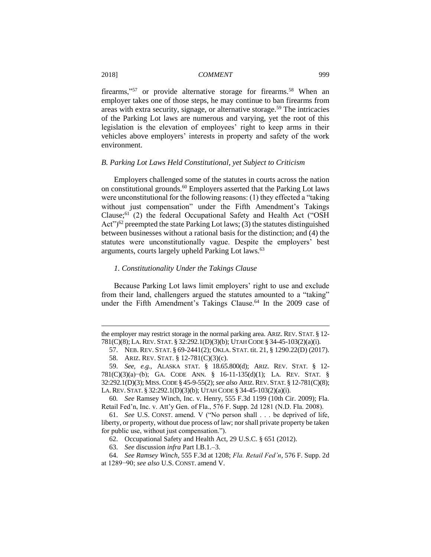firearms,"<sup>57</sup> or provide alternative storage for firearms.<sup>58</sup> When an employer takes one of those steps, he may continue to ban firearms from areas with extra security, signage, or alternative storage.<sup>59</sup> The intricacies of the Parking Lot laws are numerous and varying, yet the root of this legislation is the elevation of employees' right to keep arms in their vehicles above employers' interests in property and safety of the work environment.

#### *B. Parking Lot Laws Held Constitutional, yet Subject to Criticism*

Employers challenged some of the statutes in courts across the nation on constitutional grounds.<sup>60</sup> Employers asserted that the Parking Lot laws were unconstitutional for the following reasons: (1) they effected a "taking without just compensation" under the Fifth Amendment's Takings Clause;<sup>61</sup> (2) the federal Occupational Safety and Health Act ("OSH Act" $\frac{62}{2}$  preempted the state Parking Lot laws; (3) the statutes distinguished between businesses without a rational basis for the distinction; and (4) the statutes were unconstitutionally vague. Despite the employers' best arguments, courts largely upheld Parking Lot laws.<sup>63</sup>

#### *1. Constitutionality Under the Takings Clause*

Because Parking Lot laws limit employers' right to use and exclude from their land, challengers argued the statutes amounted to a "taking" under the Fifth Amendment's Takings Clause.<sup>64</sup> In the 2009 case of

the employer may restrict storage in the normal parking area. ARIZ. REV. STAT. § 12- 781(C)(8); LA. REV. STAT. § 32:292.1(D)(3)(b); UTAH CODE § 34-45-103(2)(a)(i).

<sup>57.</sup> NEB. REV. STAT. § 69-2441(2); OKLA. STAT. tit. 21, § 1290.22(D) (2017). 58. ARIZ. REV. STAT. § 12-781(C)(3)(c).

<sup>59.</sup> *See, e.g.*, ALASKA STAT. § 18.65.800(d); ARIZ. REV. STAT. § 12- 781(C)(3)(a)−(b); GA. CODE ANN. § 16-11-135(d)(1); LA. REV. STAT. § 32:292.1(D)(3); MISS.CODE § 45-9-55(2); *see also* ARIZ.REV. STAT. § 12-781(C)(8); LA. REV. STAT. § 32:292.1(D)(3)(b); UTAH CODE § 34-45-103(2)(a)(i).

<sup>60</sup>*. See* Ramsey Winch, Inc. v. Henry, 555 F.3d 1199 (10th Cir. 2009); Fla. Retail Fed'n, Inc. v. Att'y Gen. of Fla., 576 F. Supp. 2d 1281 (N.D. Fla. 2008).

<sup>61.</sup> *See* U.S. CONST. amend. V ("No person shall . . . be deprived of life, liberty, or property, without due process of law; nor shall private property be taken for public use, without just compensation.").

<sup>62.</sup> Occupational Safety and Health Act, 29 U.S.C. § 651 (2012).

<sup>63.</sup> *See* discussion *infra* Part I.B.1.–3.

<sup>64.</sup> *See Ramsey Winch*, 555 F.3d at 1208; *Fla. Retail Fed'n*, 576 F. Supp. 2d at 1289−90; *see also* U.S. CONST. amend V.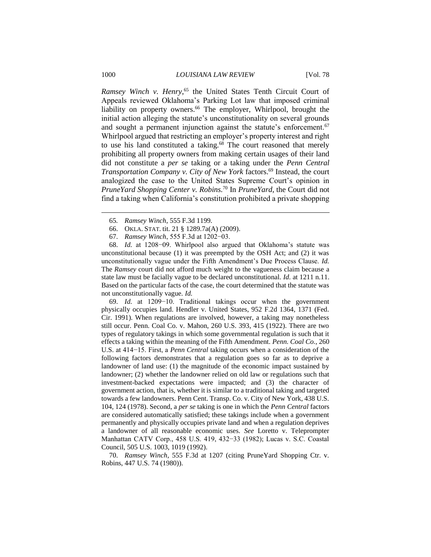*Ramsey Winch v. Henry*, <sup>65</sup> the United States Tenth Circuit Court of Appeals reviewed Oklahoma's Parking Lot law that imposed criminal liability on property owners.<sup>66</sup> The employer, Whirlpool, brought the initial action alleging the statute's unconstitutionality on several grounds and sought a permanent injunction against the statute's enforcement.<sup>67</sup> Whirlpool argued that restricting an employer's property interest and right to use his land constituted a taking. $68$  The court reasoned that merely prohibiting all property owners from making certain usages of their land did not constitute a *per se* taking or a taking under the *Penn Central Transportation Company v. City of New York factors.*<sup>69</sup> Instead, the court analogized the case to the United States Supreme Court's opinion in *PruneYard Shopping Center v. Robins.*<sup>70</sup> In *PruneYard*, the Court did not find a taking when California's constitution prohibited a private shopping

- 66. OKLA. STAT. tit. 21 § 1289.7a(A) (2009).
- 67. *Ramsey Winch*, 555 F.3d at 1202−03.

68. *Id.* at 1208−09. Whirlpool also argued that Oklahoma's statute was unconstitutional because (1) it was preempted by the OSH Act; and (2) it was unconstitutionally vague under the Fifth Amendment's Due Process Clause. *Id.* The *Ramsey* court did not afford much weight to the vagueness claim because a state law must be facially vague to be declared unconstitutional. *Id.* at 1211 n.11. Based on the particular facts of the case, the court determined that the statute was not unconstitutionally vague. *Id.*

69. *Id.* at 1209−10. Traditional takings occur when the government physically occupies land. Hendler v. United States, 952 F.2d 1364, 1371 (Fed. Cir. 1991). When regulations are involved, however, a taking may nonetheless still occur. Penn. Coal Co. v. Mahon, 260 U.S. 393, 415 (1922). There are two types of regulatory takings in which some governmental regulation is such that it effects a taking within the meaning of the Fifth Amendment. *Penn. Coal Co.*, 260 U.S. at 414−15. First, a *Penn Central* taking occurs when a consideration of the following factors demonstrates that a regulation goes so far as to deprive a landowner of land use: (1) the magnitude of the economic impact sustained by landowner; (2) whether the landowner relied on old law or regulations such that investment-backed expectations were impacted; and (3) the character of government action, that is, whether it is similar to a traditional taking and targeted towards a few landowners. Penn Cent. Transp. Co. v. City of New York, 438 U.S. 104, 124 (1978). Second, a *per se* taking is one in which the *Penn Central* factors are considered automatically satisfied; these takings include when a government permanently and physically occupies private land and when a regulation deprives a landowner of all reasonable economic uses. *See* Loretto v. Teleprompter Manhattan CATV Corp., 458 U.S. 419, 432−33 (1982); Lucas v. S.C. Coastal Council, 505 U.S. 1003, 1019 (1992).

70. *Ramsey Winch*, 555 F.3d at 1207 (citing PruneYard Shopping Ctr. v. Robins, 447 U.S. 74 (1980)).

<sup>65</sup>*. Ramsey Winch*, 555 F.3d 1199.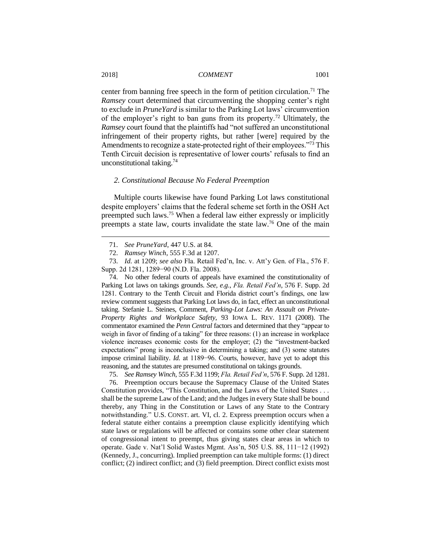center from banning free speech in the form of petition circulation.<sup>71</sup> The *Ramsey* court determined that circumventing the shopping center's right to exclude in *PruneYard* is similar to the Parking Lot laws' circumvention of the employer's right to ban guns from its property.<sup>72</sup> Ultimately, the *Ramsey* court found that the plaintiffs had "not suffered an unconstitutional infringement of their property rights, but rather [were] required by the Amendments to recognize a state-protected right of their employees."<sup>73</sup> This Tenth Circuit decision is representative of lower courts' refusals to find an unconstitutional taking.<sup>74</sup>

#### *2. Constitutional Because No Federal Preemption*

Multiple courts likewise have found Parking Lot laws constitutional despite employers' claims that the federal scheme set forth in the OSH Act preempted such laws.<sup>75</sup> When a federal law either expressly or implicitly preempts a state law, courts invalidate the state law.<sup>76</sup> One of the main

74. No other federal courts of appeals have examined the constitutionality of Parking Lot laws on takings grounds. *See, e.g.*, *Fla. Retail Fed'n*, 576 F. Supp. 2d 1281. Contrary to the Tenth Circuit and Florida district court's findings, one law review comment suggests that Parking Lot laws do, in fact, effect an unconstitutional taking. Stefanie L. Steines, Comment, *Parking-Lot Laws: An Assault on Private-Property Rights and Workplace Safety*, 93 IOWA L. REV. 1171 (2008). The commentator examined the *Penn Central* factors and determined that they "appear to weigh in favor of finding of a taking" for three reasons: (1) an increase in workplace violence increases economic costs for the employer; (2) the "investment-backed expectations" prong is inconclusive in determining a taking; and (3) some statutes impose criminal liability. *Id.* at 1189−96. Courts, however, have yet to adopt this reasoning, and the statutes are presumed constitutional on takings grounds.

75. *See Ramsey Winch*, 555 F.3d 1199; *Fla. Retail Fed'n*, 576 F. Supp. 2d 1281.

76. Preemption occurs because the Supremacy Clause of the United States Constitution provides, "This Constitution, and the Laws of the United States . . . shall be the supreme Law of the Land; and the Judges in every State shall be bound thereby, any Thing in the Constitution or Laws of any State to the Contrary notwithstanding." U.S. CONST. art. VI, cl. 2. Express preemption occurs when a federal statute either contains a preemption clause explicitly identifying which state laws or regulations will be affected or contains some other clear statement of congressional intent to preempt, thus giving states clear areas in which to operate. Gade v. Nat'l Solid Wastes Mgmt. Ass'n, 505 U.S. 88, 111−12 (1992) (Kennedy, J., concurring). Implied preemption can take multiple forms: (1) direct conflict; (2) indirect conflict; and (3) field preemption. Direct conflict exists most

<sup>71.</sup> *See PruneYard*, 447 U.S. at 84.

<sup>72.</sup> *Ramsey Winch*, 555 F.3d at 1207.

<sup>73.</sup> *Id.* at 1209; *see also* Fla. Retail Fed'n, Inc. v. Att'y Gen. of Fla., 576 F. Supp. 2d 1281, 1289−90 (N.D. Fla. 2008).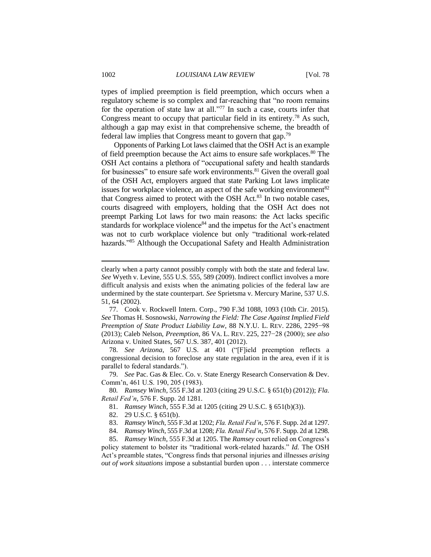types of implied preemption is field preemption, which occurs when a regulatory scheme is so complex and far-reaching that "no room remains for the operation of state law at all."<sup>77</sup> In such a case, courts infer that Congress meant to occupy that particular field in its entirety.<sup>78</sup> As such, although a gap may exist in that comprehensive scheme, the breadth of federal law implies that Congress meant to govern that gap.<sup>79</sup>

Opponents of Parking Lot laws claimed that the OSH Act is an example of field preemption because the Act aims to ensure safe workplaces.<sup>80</sup> The OSH Act contains a plethora of "occupational safety and health standards for businesses" to ensure safe work environments.<sup>81</sup> Given the overall goal of the OSH Act, employers argued that state Parking Lot laws implicate issues for workplace violence, an aspect of the safe working environment<sup>82</sup> that Congress aimed to protect with the OSH Act.<sup>83</sup> In two notable cases, courts disagreed with employers, holding that the OSH Act does not preempt Parking Lot laws for two main reasons: the Act lacks specific standards for workplace violence<sup>84</sup> and the impetus for the Act's enactment was not to curb workplace violence but only "traditional work-related hazards."<sup>85</sup> Although the Occupational Safety and Health Administration

78. *See Arizona*, 567 U.S. at 401 ("[F]ield preemption reflects a congressional decision to foreclose any state regulation in the area, even if it is parallel to federal standards.").

79. *See* Pac. Gas & Elec. Co. v. State Energy Research Conservation & Dev. Comm'n, 461 U.S. 190, 205 (1983).

80*. Ramsey Winch*, 555 F.3d at 1203 (citing 29 U.S.C. § 651(b) (2012)); *Fla. Retail Fed'n*, 576 F. Supp. 2d 1281.

81. *Ramsey Winch*, 555 F.3d at 1205 (citing 29 U.S.C. § 651(b)(3)).

- 82. 29 U.S.C. § 651(b).
- 83. *Ramsey Winch*, 555 F.3d at 1202; *Fla. Retail Fed'n*, 576 F. Supp. 2d at 1297.

84. *Ramsey Winch*, 555 F.3d at 1208; *Fla. Retail Fed'n*, 576 F. Supp. 2d at 1298.

85. *Ramsey Winch*, 555 F.3d at 1205. The *Ramsey* court relied on Congress's policy statement to bolster its "traditional work-related hazards." *Id.* The OSH Act's preamble states, "Congress finds that personal injuries and illnesses *arising out of work situations* impose a substantial burden upon . . . interstate commerce

clearly when a party cannot possibly comply with both the state and federal law. *See* Wyeth v. Levine, 555 U.S. 555, 589 (2009). Indirect conflict involves a more difficult analysis and exists when the animating policies of the federal law are undermined by the state counterpart. *See* Sprietsma v. Mercury Marine, 537 U.S. 51, 64 (2002).

<sup>77.</sup> Cook v. Rockwell Intern. Corp., 790 F.3d 1088, 1093 (10th Cir. 2015). *See* Thomas H. Sosnowski, *Narrowing the Field: The Case Against Implied Field Preemption of State Product Liability Law*, 88 N.Y.U. L. REV. 2286, 2295−98 (2013); Caleb Nelson, *Preemption*, 86 VA. L. REV. 225, 227−28 (2000); *see also*  Arizona v. United States, 567 U.S. 387, 401 (2012).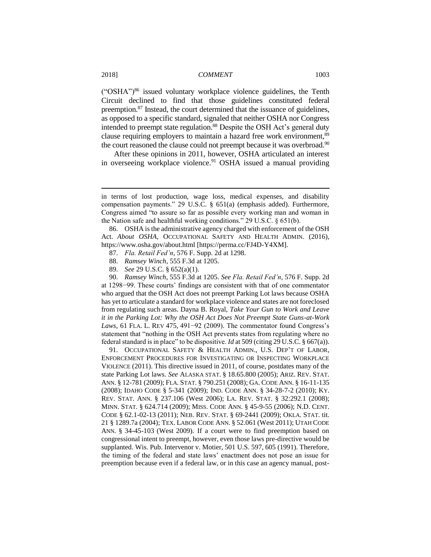$({}^{\circ}$ OSHA")<sup>86</sup> issued voluntary workplace violence guidelines, the Tenth Circuit declined to find that those guidelines constituted federal preemption.<sup>87</sup> Instead, the court determined that the issuance of guidelines, as opposed to a specific standard, signaled that neither OSHA nor Congress intended to preempt state regulation.<sup>88</sup> Despite the OSH Act's general duty clause requiring employers to maintain a hazard free work environment,<sup>89</sup> the court reasoned the clause could not preempt because it was overbroad.<sup>90</sup>

After these opinions in 2011, however, OSHA articulated an interest in overseeing workplace violence.<sup>91</sup> OSHA issued a manual providing

86. OSHA is the administrative agency charged with enforcement of the OSH Act. *About OSHA*, OCCUPATIONAL SAFETY AND HEALTH ADMIN. (2016), https://www.osha.gov/about.html [https://perma.cc/FJ4D-Y4XM].

- 87. *Fla. Retail Fed'n*, 576 F. Supp. 2d at 1298.
- 88. *Ramsey Winch*, 555 F.3d at 1205.
- 89. *See* 29 U.S.C. § 652(a)(1).

90. *Ramsey Winch*, 555 F.3d at 1205. *See Fla. Retail Fed'n*, 576 F. Supp. 2d at 1298−99. These courts' findings are consistent with that of one commentator who argued that the OSH Act does not preempt Parking Lot laws because OSHA has yet to articulate a standard for workplace violence and states are not foreclosed from regulating such areas. Dayna B. Royal, *Take Your Gun to Work and Leave it in the Parking Lot: Why the OSH Act Does Not Preempt State Guns-at-Work Laws*, 61 FLA. L. REV 475, 491−92 (2009). The commentator found Congress's statement that "nothing in the OSH Act prevents states from regulating where no federal standard is in place" to be dispositive. *Id* at 509 (citing 29 U.S.C. § 667(a)).

91. OCCUPATIONAL SAFETY & HEALTH ADMIN., U.S. DEP'T OF LABOR, ENFORCEMENT PROCEDURES FOR INVESTIGATING OR INSPECTING WORKPLACE VIOLENCE (2011). This directive issued in 2011, of course, postdates many of the state Parking Lot laws. *See* ALASKA STAT. § 18.65.800 (2005); ARIZ. REV. STAT. ANN. § 12-781 (2009); FLA. STAT. § 790.251 (2008); GA. CODE ANN. § 16-11-135 (2008); IDAHO CODE § 5-341 (2009); IND. CODE ANN. § 34-28-7-2 (2010); KY. REV. STAT. ANN. § 237.106 (West 2006); LA. REV. STAT. § 32:292.1 (2008); MINN. STAT. § 624.714 (2009); MISS. CODE ANN. § 45-9-55 (2006); N.D. CENT. CODE § 62.1-02-13 (2011); NEB. REV. STAT. § 69-2441 (2009); OKLA. STAT. tit. 21 § 1289.7a (2004); TEX. LABOR CODE ANN. § 52.061 (West 2011); UTAH CODE ANN. § 34-45-103 (West 2009). If a court were to find preemption based on congressional intent to preempt, however, even those laws pre-directive would be supplanted. Wis. Pub. Intervenor v. Motier, 501 U.S. 597, 605 (1991). Therefore, the timing of the federal and state laws' enactment does not pose an issue for preemption because even if a federal law, or in this case an agency manual, post-

in terms of lost production, wage loss, medical expenses, and disability compensation payments." 29 U.S.C. § 651(a) (emphasis added). Furthermore, Congress aimed "to assure so far as possible every working man and woman in the Nation safe and healthful working conditions." 29 U.S.C. § 651(b).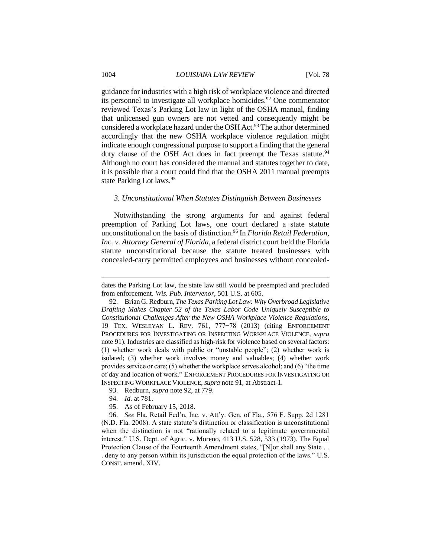guidance for industries with a high risk of workplace violence and directed its personnel to investigate all workplace homicides.<sup>92</sup> One commentator reviewed Texas's Parking Lot law in light of the OSHA manual, finding that unlicensed gun owners are not vetted and consequently might be considered a workplace hazard under the OSH Act.<sup>93</sup> The author determined accordingly that the new OSHA workplace violence regulation might indicate enough congressional purpose to support a finding that the general duty clause of the OSH Act does in fact preempt the Texas statute.<sup>94</sup> Although no court has considered the manual and statutes together to date, it is possible that a court could find that the OSHA 2011 manual preempts state Parking Lot laws.<sup>95</sup>

#### *3. Unconstitutional When Statutes Distinguish Between Businesses*

Notwithstanding the strong arguments for and against federal preemption of Parking Lot laws, one court declared a state statute unconstitutional on the basis of distinction.<sup>96</sup> In *Florida Retail Federation, Inc. v. Attorney General of Florida*, a federal district court held the Florida statute unconstitutional because the statute treated businesses with concealed-carry permitted employees and businesses without concealed-

- 94. *Id.* at 781.
- 95. As of February 15, 2018.

96. *See* Fla. Retail Fed'n, Inc. v. Att'y. Gen. of Fla., 576 F. Supp. 2d 1281 (N.D. Fla. 2008). A state statute's distinction or classification is unconstitutional when the distinction is not "rationally related to a legitimate governmental interest." U.S. Dept. of Agric. v. Moreno, 413 U.S. 528, 533 (1973). The Equal Protection Clause of the Fourteenth Amendment states, "[N]or shall any State . . . deny to any person within its jurisdiction the equal protection of the laws." U.S. CONST. amend. XIV.

dates the Parking Lot law, the state law still would be preempted and precluded from enforcement. *Wis. Pub. Intervenor*, 501 U.S. at 605*.*

<sup>92.</sup> Brian G. Redburn, *The Texas Parking Lot Law: Why Overbroad Legislative Drafting Makes Chapter 52 of the Texas Labor Code Uniquely Susceptible to Constitutional Challenges After the New OSHA Workplace Violence Regulations*, 19 TEX. WESLEYAN L. REV. 761, 777−78 (2013) (citing ENFORCEMENT PROCEDURES FOR INVESTIGATING OR INSPECTING WORKPLACE VIOLENCE, *supra* note 91). Industries are classified as high-risk for violence based on several factors: (1) whether work deals with public or "unstable people"; (2) whether work is isolated; (3) whether work involves money and valuables; (4) whether work provides service or care; (5) whether the workplace serves alcohol; and (6) "the time of day and location of work." ENFORCEMENT PROCEDURES FOR INVESTIGATING OR INSPECTING WORKPLACE VIOLENCE, *supra* note 91, at Abstract-1.

<sup>93.</sup> Redburn, *supra* note 92, at 779.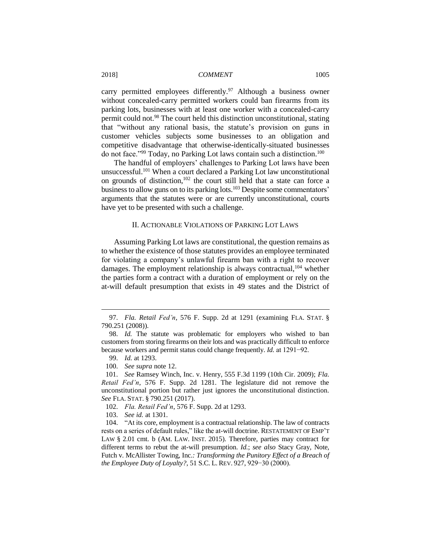carry permitted employees differently.<sup>97</sup> Although a business owner without concealed-carry permitted workers could ban firearms from its parking lots, businesses with at least one worker with a concealed-carry permit could not.<sup>98</sup> The court held this distinction unconstitutional, stating that "without any rational basis, the statute's provision on guns in customer vehicles subjects some businesses to an obligation and competitive disadvantage that otherwise-identically-situated businesses do not face."<sup>99</sup> Today, no Parking Lot laws contain such a distinction.<sup>100</sup>

The handful of employers' challenges to Parking Lot laws have been unsuccessful.<sup>101</sup> When a court declared a Parking Lot law unconstitutional on grounds of distinction,<sup>102</sup> the court still held that a state can force a business to allow guns on to its parking lots.<sup>103</sup> Despite some commentators' arguments that the statutes were or are currently unconstitutional, courts have yet to be presented with such a challenge.

#### II. ACTIONABLE VIOLATIONS OF PARKING LOT LAWS

Assuming Parking Lot laws are constitutional, the question remains as to whether the existence of those statutes provides an employee terminated for violating a company's unlawful firearm ban with a right to recover damages. The employment relationship is always contractual,  $^{104}$  whether the parties form a contract with a duration of employment or rely on the at-will default presumption that exists in 49 states and the District of

<sup>97.</sup> *Fla. Retail Fed'n*, 576 F. Supp. 2d at 1291 (examining FLA. STAT. § 790.251 (2008)).

<sup>98.</sup> *Id.* The statute was problematic for employers who wished to ban customers from storing firearms on their lots and was practically difficult to enforce because workers and permit status could change frequently. *Id.* at 1291−92.

<sup>99.</sup> *Id.* at 1293.

<sup>100.</sup> *See supra* note 12.

<sup>101.</sup> *See* Ramsey Winch, Inc. v. Henry, 555 F.3d 1199 (10th Cir. 2009); *Fla. Retail Fed'n*, 576 F. Supp. 2d 1281. The legislature did not remove the unconstitutional portion but rather just ignores the unconstitutional distinction. *See* FLA. STAT. § 790.251 (2017).

<sup>102.</sup> *Fla. Retail Fed'n*, 576 F. Supp. 2d at 1293.

<sup>103.</sup> *See id.* at 1301.

<sup>104.</sup> "At its core, employment is a contractual relationship. The law of contracts rests on a series of default rules," like the at-will doctrine. RESTATEMENT OF EMP'T LAW § 2.01 cmt. b (AM. LAW. INST. 2015). Therefore, parties may contract for different terms to rebut the at-will presumption. *Id.*; *see also* Stacy Gray, Note, Futch v. McAllister Towing, Inc.*: Transforming the Punitory Effect of a Breach of the Employee Duty of Loyalty?*, 51 S.C. L. REV. 927, 929−30 (2000).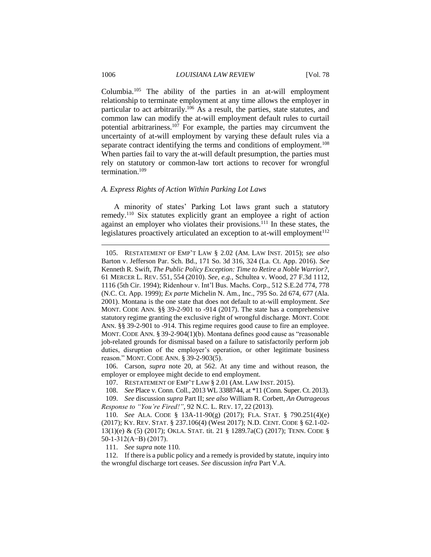Columbia.<sup>105</sup> The ability of the parties in an at-will employment relationship to terminate employment at any time allows the employer in particular to act arbitrarily.<sup>106</sup> As a result, the parties, state statutes, and common law can modify the at-will employment default rules to curtail potential arbitrariness.<sup>107</sup> For example, the parties may circumvent the uncertainty of at-will employment by varying these default rules via a separate contract identifying the terms and conditions of employment.<sup>108</sup> When parties fail to vary the at-will default presumption, the parties must rely on statutory or common-law tort actions to recover for wrongful termination.<sup>109</sup>

#### *A. Express Rights of Action Within Parking Lot Laws*

A minority of states' Parking Lot laws grant such a statutory remedy.<sup>110</sup> Six statutes explicitly grant an employee a right of action against an employer who violates their provisions.<sup>111</sup> In these states, the legislatures proactively articulated an exception to at-will employment<sup>112</sup>

106. Carson, *supra* note 20, at 562. At any time and without reason, the employer or employee might decide to end employment.

111. *See supra* note 110*.*

112. If there is a public policy and a remedy is provided by statute, inquiry into the wrongful discharge tort ceases. *See* discussion *infra* Part V.A.

<sup>105.</sup> RESTATEMENT OF EMP'T LAW § 2.02 (AM. LAW INST. 2015); *see also*  Barton v. Jefferson Par. Sch. Bd., 171 So. 3d 316, 324 (La. Ct. App. 2016). *See*  Kenneth R. Swift, *The Public Policy Exception: Time to Retire a Noble Warrior?*, 61 MERCER L. REV. 551, 554 (2010). *See, e.g.*, Schultea v. Wood, 27 F.3d 1112, 1116 (5th Cir. 1994); Ridenhour v. Int'l Bus. Machs. Corp., 512 S.E.2d 774, 778 (N.C. Ct. App. 1999); *Ex parte* Michelin N. Am., Inc., 795 So. 2d 674, 677 (Ala. 2001). Montana is the one state that does not default to at-will employment. *See*  MONT. CODE ANN. §§ 39-2-901 to -914 (2017). The state has a comprehensive statutory regime granting the exclusive right of wrongful discharge. MONT. CODE ANN. §§ 39-2-901 to -914. This regime requires good cause to fire an employee. MONT. CODE ANN. § 39-2-904(1)(b). Montana defines good cause as "reasonable job-related grounds for dismissal based on a failure to satisfactorily perform job duties, disruption of the employer's operation, or other legitimate business reason." MONT. CODE ANN. § 39-2-903(5).

<sup>107.</sup> RESTATEMENT OF EMP'T LAW § 2.01 (AM. LAW INST. 2015).

<sup>108.</sup> *See* Place v. Conn. Coll., 2013 WL 3388744, at \*11 (Conn. Super. Ct. 2013).

<sup>109.</sup> *See* discussion *supra* Part II; *see also* William R. Corbett, *An Outrageous Response to "You're Fired!"*, 92 N.C. L. REV. 17, 22 (2013).

<sup>110.</sup> *See* ALA. CODE § 13A-11-90(g) (2017); FLA. STAT. § 790.251(4)(e) (2017); KY. REV. STAT. § 237.106(4) (West 2017); N.D. CENT. CODE § 62.1-02- 13(1)(e) & (5) (2017); OKLA. STAT. tit. 21 § 1289.7a(C) (2017); TENN. CODE § 50-1-312(A−B) (2017).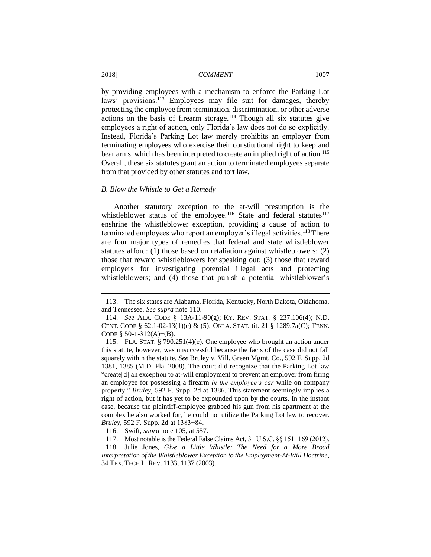by providing employees with a mechanism to enforce the Parking Lot laws' provisions.<sup>113</sup> Employees may file suit for damages, thereby protecting the employee from termination, discrimination, or other adverse actions on the basis of firearm storage.<sup>114</sup> Though all six statutes give employees a right of action, only Florida's law does not do so explicitly. Instead, Florida's Parking Lot law merely prohibits an employer from terminating employees who exercise their constitutional right to keep and bear arms, which has been interpreted to create an implied right of action.<sup>115</sup> Overall, these six statutes grant an action to terminated employees separate from that provided by other statutes and tort law.

#### *B. Blow the Whistle to Get a Remedy*

Another statutory exception to the at-will presumption is the whistleblower status of the employee.<sup>116</sup> State and federal statutes<sup>117</sup> enshrine the whistleblower exception, providing a cause of action to terminated employees who report an employer's illegal activities.<sup>118</sup> There are four major types of remedies that federal and state whistleblower statutes afford: (1) those based on retaliation against whistleblowers; (2) those that reward whistleblowers for speaking out; (3) those that reward employers for investigating potential illegal acts and protecting whistleblowers; and (4) those that punish a potential whistleblower's

<sup>113.</sup> The six states are Alabama, Florida, Kentucky, North Dakota, Oklahoma, and Tennessee. *See supra* note 110.

<sup>114.</sup> *See* ALA. CODE § 13A-11-90(g); KY. REV. STAT. § 237.106(4); N.D. CENT. CODE §  $62.1-02-13(1)$ (e) &  $(5)$ ; OKLA. STAT. tit. 21 § 1289.7a(C); TENN. CODE § 50-1-312(A)–(B).

<sup>115.</sup> FLA. STAT. § 790.251(4)(e). One employee who brought an action under this statute, however, was unsuccessful because the facts of the case did not fall squarely within the statute. *See* Bruley v. Vill. Green Mgmt. Co., 592 F. Supp. 2d 1381, 1385 (M.D. Fla. 2008). The court did recognize that the Parking Lot law "create[d] an exception to at-will employment to prevent an employer from firing an employee for possessing a firearm *in the employee's car* while on company property." *Bruley*, 592 F. Supp. 2d at 1386. This statement seemingly implies a right of action, but it has yet to be expounded upon by the courts. In the instant case, because the plaintiff-employee grabbed his gun from his apartment at the complex he also worked for, he could not utilize the Parking Lot law to recover. *Bruley*, 592 F. Supp. 2d at 1383−84.

<sup>116.</sup> Swift, *supra* note 105, at 557.

<sup>117.</sup> Most notable is the Federal False Claims Act, 31 U.S.C. §§ 151−169 (2012).

<sup>118.</sup> Julie Jones, *Give a Little Whistle: The Need for a More Broad Interpretation of the Whistleblower Exception to the Employment-At-Will Doctrine*, 34 TEX. TECH L. REV. 1133, 1137 (2003).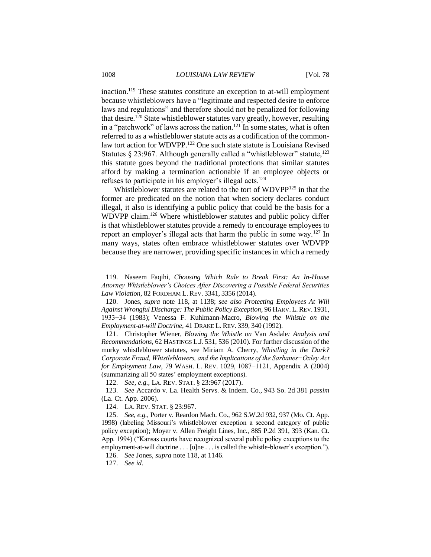inaction.<sup>119</sup> These statutes constitute an exception to at-will employment because whistleblowers have a "legitimate and respected desire to enforce laws and regulations" and therefore should not be penalized for following that desire.<sup>120</sup> State whistleblower statutes vary greatly, however, resulting in a "patchwork" of laws across the nation.<sup>121</sup> In some states, what is often referred to as a whistleblower statute acts as a codification of the commonlaw tort action for WDVPP.<sup>122</sup> One such state statute is Louisiana Revised Statutes § 23:967. Although generally called a "whistleblower" statute,  $^{123}$ this statute goes beyond the traditional protections that similar statutes afford by making a termination actionable if an employee objects or refuses to participate in his employer's illegal acts.<sup>124</sup>

Whistleblower statutes are related to the tort of WDVPP<sup>125</sup> in that the former are predicated on the notion that when society declares conduct illegal, it also is identifying a public policy that could be the basis for a WDVPP claim. <sup>126</sup> Where whistleblower statutes and public policy differ is that whistleblower statutes provide a remedy to encourage employees to report an employer's illegal acts that harm the public in some way.<sup>127</sup> In many ways, states often embrace whistleblower statutes over WDVPP because they are narrower, providing specific instances in which a remedy

121. Christopher Wiener, *Blowing the Whistle on* Van Asdale*: Analysis and Recommendations*, 62 HASTINGS L.J. 531, 536 (2010). For further discussion of the murky whistleblower statutes, see Miriam A. Cherry, *Whistling in the Dark? Corporate Fraud, Whistleblowers, and the Implications of the Sarbanes−Oxley Act for Employment Law*, 79 WASH. L. REV. 1029, 1087−1121, Appendix A (2004) (summarizing all 50 states' employment exceptions).

122. *See, e.g.*, LA. REV. STAT. § 23:967 (2017).

123. *See* Accardo v. La. Health Servs. & Indem. Co., 943 So. 2d 381 *passim* (La. Ct. App. 2006).

124. LA. REV. STAT. § 23:967.

125. *See, e.g.*, Porter v. Reardon Mach. Co., 962 S.W.2d 932, 937 (Mo. Ct. App. 1998) (labeling Missouri's whistleblower exception a second category of public policy exception); Moyer v. Allen Freight Lines, Inc., 885 P.2d 391, 393 (Kan. Ct. App. 1994) ("Kansas courts have recognized several public policy exceptions to the employment-at-will doctrine . . . [o]ne . . . is called the whistle-blower's exception.").

126. *See* Jones, *supra* note 118, at 1146.

127. *See id.*

<sup>119.</sup> Naseem Faqihi, *Choosing Which Rule to Break First: An In-House Attorney Whistleblower's Choices After Discovering a Possible Federal Securities Law Violation*, 82 FORDHAM L. REV. 3341, 3356 (2014).

<sup>120.</sup> Jones, *supra* note 118, at 1138; *see also Protecting Employees At Will Against Wrongful Discharge: The Public Policy Exception*, 96 HARV. L.REV. 1931, 1933−34 (1983); Venessa F. Kuhlmann-Macro, *Blowing the Whistle on the Employment-at-will Doctrine*, 41 DRAKE L. REV. 339, 340 (1992).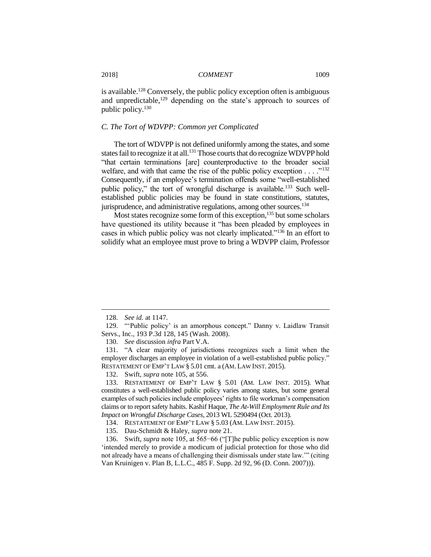is available.<sup>128</sup> Conversely, the public policy exception often is ambiguous and unpredictable,<sup>129</sup> depending on the state's approach to sources of public policy.<sup>130</sup>

#### *C. The Tort of WDVPP: Common yet Complicated*

The tort of WDVPP is not defined uniformly among the states, and some states fail to recognize it at all.<sup>131</sup> Those courts that do recognize WDVPP hold "that certain terminations [are] counterproductive to the broader social welfare, and with that came the rise of the public policy exception  $\dots$ <sup>132</sup> Consequently, if an employee's termination offends some "well-established public policy," the tort of wrongful discharge is available.<sup>133</sup> Such wellestablished public policies may be found in state constitutions, statutes, jurisprudence, and administrative regulations, among other sources.<sup>134</sup>

Most states recognize some form of this exception,<sup>135</sup> but some scholars have questioned its utility because it "has been pleaded by employees in cases in which public policy was not clearly implicated."<sup>136</sup> In an effort to solidify what an employee must prove to bring a WDVPP claim, Professor

<sup>128.</sup> *See id.* at 1147.

<sup>129.</sup> "'Public policy' is an amorphous concept." Danny v. Laidlaw Transit Servs., Inc., 193 P.3d 128, 145 (Wash. 2008).

<sup>130.</sup> *See* discussion *infra* Part V.A.

<sup>131.</sup> "A clear majority of jurisdictions recognizes such a limit when the employer discharges an employee in violation of a well-established public policy." RESTATEMENT OF EMP'T LAW § 5.01 cmt. a (AM. LAW INST. 2015).

<sup>132.</sup> Swift, *supra* note 105, at 556.

<sup>133.</sup> RESTATEMENT OF EMP'T LAW § 5.01 (AM. LAW INST. 2015). What constitutes a well-established public policy varies among states, but some general examples of such policies include employees' rights to file workman's compensation claims or to report safety habits. Kashif Haque, *The At-Will Employment Rule and Its Impact on Wrongful Discharge Cases*, 2013 WL 5290494 (Oct. 2013).

<sup>134.</sup> RESTATEMENT OF EMP'T LAW § 5.03 (AM. LAW INST. 2015).

<sup>135.</sup> Dau-Schmidt & Haley, *supra* note 21.

<sup>136.</sup> Swift, *supra* note 105, at 565−66 ("[T]he public policy exception is now 'intended merely to provide a modicum of judicial protection for those who did not already have a means of challenging their dismissals under state law.'" (citing Van Kruinigen v. Plan B, L.L.C., 485 F. Supp. 2d 92, 96 (D. Conn. 2007))).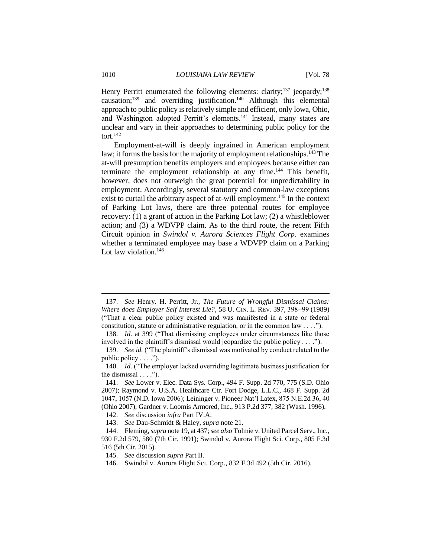Henry Perritt enumerated the following elements: clarity;<sup>137</sup> jeopardy;<sup>138</sup> causation;<sup>139</sup> and overriding justification.<sup>140</sup> Although this elemental approach to public policy is relatively simple and efficient, only Iowa, Ohio, and Washington adopted Perritt's elements.<sup>141</sup> Instead, many states are unclear and vary in their approaches to determining public policy for the tort. $142$ 

Employment-at-will is deeply ingrained in American employment law; it forms the basis for the majority of employment relationships.<sup>143</sup> The at-will presumption benefits employers and employees because either can terminate the employment relationship at any time.<sup>144</sup> This benefit, however, does not outweigh the great potential for unpredictability in employment. Accordingly, several statutory and common-law exceptions exist to curtail the arbitrary aspect of at-will employment.<sup>145</sup> In the context of Parking Lot laws, there are three potential routes for employee recovery: (1) a grant of action in the Parking Lot law; (2) a whistleblower action; and (3) a WDVPP claim. As to the third route, the recent Fifth Circuit opinion in *Swindol v. Aurora Sciences Flight Corp.* examines whether a terminated employee may base a WDVPP claim on a Parking Lot law violation.<sup>146</sup>

<sup>137.</sup> *See* Henry. H. Perritt, Jr., *The Future of Wrongful Dismissal Claims: Where does Employer Self Interest Lie?*, 58 U. CIN. L. REV. 397, 398−99 (1989) ("That a clear public policy existed and was manifested in a state or federal constitution, statute or administrative regulation, or in the common law  $\dots$ .

<sup>138.</sup> *Id.* at 399 ("That dismissing employees under circumstances like those involved in the plaintiff's dismissal would jeopardize the public policy . . . .").

<sup>139.</sup> *See id.* ("The plaintiff's dismissal was motivated by conduct related to the public policy  $\dots$ .").

<sup>140.</sup> *Id.* ("The employer lacked overriding legitimate business justification for the dismissal  $\dots$ .").

<sup>141.</sup> *See* Lower v. Elec. Data Sys. Corp., 494 F. Supp. 2d 770, 775 (S.D. Ohio 2007); Raymond v. U.S.A. Healthcare Ctr. Fort Dodge, L.L.C., 468 F. Supp. 2d 1047, 1057 (N.D. Iowa 2006); Leininger v. Pioneer Nat'l Latex, 875 N.E.2d 36, 40 (Ohio 2007); Gardner v. Loomis Armored, Inc., 913 P.2d 377, 382 (Wash. 1996).

<sup>142.</sup> *See* discussion *infra* Part IV.A.

<sup>143.</sup> *See* Dau-Schmidt & Haley, *supra* note 21.

<sup>144.</sup> Fleming, *supra* note 19, at 437; *see also* Tolmie v. United Parcel Serv., Inc., 930 F.2d 579, 580 (7th Cir. 1991); Swindol v. Aurora Flight Sci. Corp., 805 F.3d 516 (5th Cir. 2015).

<sup>145.</sup> *See* discussion *supra* Part II.

<sup>146.</sup> Swindol v. Aurora Flight Sci. Corp., 832 F.3d 492 (5th Cir. 2016).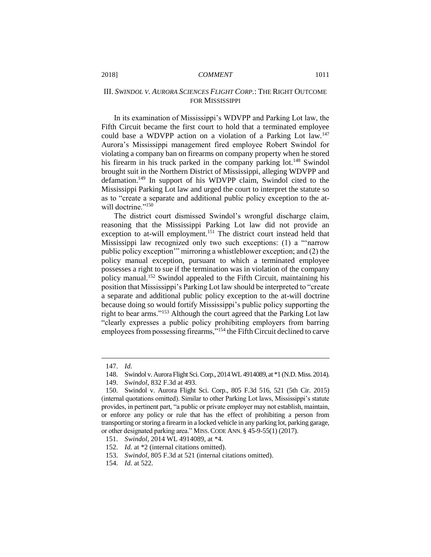# III. *SWINDOL V. AURORA SCIENCES FLIGHT CORP.*: THE RIGHT OUTCOME FOR MISSISSIPPI

In its examination of Mississippi's WDVPP and Parking Lot law, the Fifth Circuit became the first court to hold that a terminated employee could base a WDVPP action on a violation of a Parking Lot law*.* 147 Aurora's Mississippi management fired employee Robert Swindol for violating a company ban on firearms on company property when he stored his firearm in his truck parked in the company parking lot.<sup>148</sup> Swindol brought suit in the Northern District of Mississippi, alleging WDVPP and defamation.<sup>149</sup> In support of his WDVPP claim, Swindol cited to the Mississippi Parking Lot law and urged the court to interpret the statute so as to "create a separate and additional public policy exception to the atwill doctrine."150

The district court dismissed Swindol's wrongful discharge claim, reasoning that the Mississippi Parking Lot law did not provide an exception to at-will employment.<sup>151</sup> The district court instead held that Mississippi law recognized only two such exceptions: (1) a "'narrow public policy exception'" mirroring a whistleblower exception; and (2) the policy manual exception, pursuant to which a terminated employee possesses a right to sue if the termination was in violation of the company policy manual.<sup>152</sup> Swindol appealed to the Fifth Circuit, maintaining his position that Mississippi's Parking Lot law should be interpreted to "create a separate and additional public policy exception to the at-will doctrine because doing so would fortify Mississippi's public policy supporting the right to bear arms."<sup>153</sup> Although the court agreed that the Parking Lot law "clearly expresses a public policy prohibiting employers from barring employees from possessing firearms,"<sup>154</sup> the Fifth Circuit declined to carve

<sup>147.</sup> *Id.*

<sup>148.</sup> Swindol v. Aurora Flight Sci. Corp., 2014 WL 4914089, at \*1 (N.D. Miss. 2014).

<sup>149.</sup> *Swindol*, 832 F.3d at 493.

<sup>150.</sup> Swindol v. Aurora Flight Sci. Corp., 805 F.3d 516, 521 (5th Cir. 2015) (internal quotations omitted). Similar to other Parking Lot laws, Mississippi's statute provides, in pertinent part, "a public or private employer may not establish, maintain, or enforce any policy or rule that has the effect of prohibiting a person from transporting or storing a firearm in a locked vehicle in any parking lot, parking garage, or other designated parking area." MISS. CODE ANN. § 45-9-55(1) (2017).

<sup>151.</sup> *Swindol*, 2014 WL 4914089, at \*4.

<sup>152.</sup> *Id.* at \*2 (internal citations omitted).

<sup>153.</sup> *Swindol*, 805 F.3d at 521 (internal citations omitted).

<sup>154.</sup> *Id.* at 522.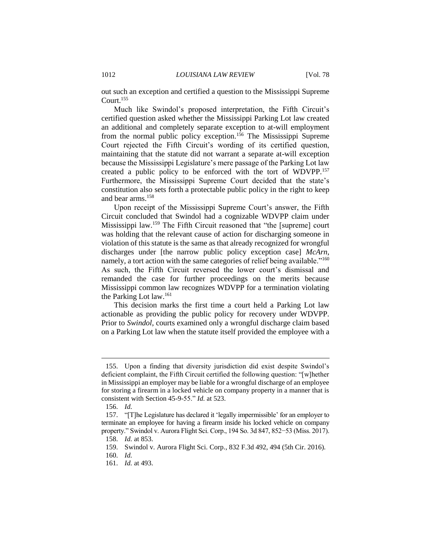out such an exception and certified a question to the Mississippi Supreme Court.<sup>155</sup>

Much like Swindol's proposed interpretation, the Fifth Circuit's certified question asked whether the Mississippi Parking Lot law created an additional and completely separate exception to at-will employment from the normal public policy exception.<sup>156</sup> The Mississippi Supreme Court rejected the Fifth Circuit's wording of its certified question, maintaining that the statute did not warrant a separate at-will exception because the Mississippi Legislature's mere passage of the Parking Lot law created a public policy to be enforced with the tort of WDVPP.<sup>157</sup> Furthermore, the Mississippi Supreme Court decided that the state's constitution also sets forth a protectable public policy in the right to keep and bear arms.<sup>158</sup>

Upon receipt of the Mississippi Supreme Court's answer, the Fifth Circuit concluded that Swindol had a cognizable WDVPP claim under Mississippi law.<sup>159</sup> The Fifth Circuit reasoned that "the [supreme] court was holding that the relevant cause of action for discharging someone in violation of this statute is the same as that already recognized for wrongful discharges under [the narrow public policy exception case] *McArn*, namely, a tort action with the same categories of relief being available."<sup>160</sup> As such, the Fifth Circuit reversed the lower court's dismissal and remanded the case for further proceedings on the merits because Mississippi common law recognizes WDVPP for a termination violating the Parking Lot law.<sup>161</sup>

This decision marks the first time a court held a Parking Lot law actionable as providing the public policy for recovery under WDVPP. Prior to *Swindol*, courts examined only a wrongful discharge claim based on a Parking Lot law when the statute itself provided the employee with a

<sup>155.</sup> Upon a finding that diversity jurisdiction did exist despite Swindol's deficient complaint, the Fifth Circuit certified the following question: "[w]hether in Mississippi an employer may be liable for a wrongful discharge of an employee for storing a firearm in a locked vehicle on company property in a manner that is consistent with Section 45-9-55." *Id.* at 523.

<sup>156.</sup> *Id.*

<sup>157.</sup> "[T]he Legislature has declared it 'legally impermissible' for an employer to terminate an employee for having a firearm inside his locked vehicle on company property." Swindol v. Aurora Flight Sci. Corp., 194 So. 3d 847, 852−53 (Miss. 2017).

<sup>158.</sup> *Id.* at 853.

<sup>159.</sup> Swindol v. Aurora Flight Sci. Corp., 832 F.3d 492, 494 (5th Cir. 2016).

<sup>160.</sup> *Id.*

<sup>161.</sup> *Id.* at 493.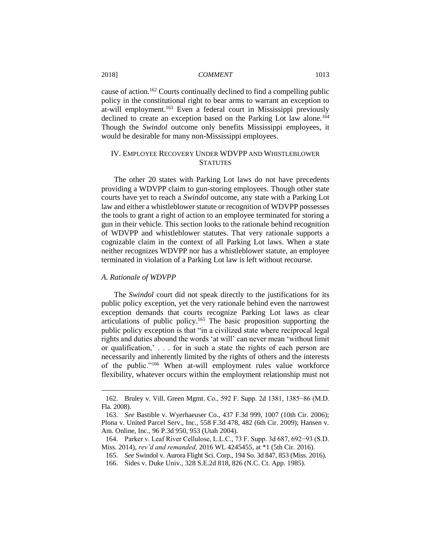cause of action.<sup>162</sup> Courts continually declined to find a compelling public policy in the constitutional right to bear arms to warrant an exception to at-will employment.<sup>163</sup> Even a federal court in Mississippi previously declined to create an exception based on the Parking Lot law alone.<sup>164</sup> Though the *Swindol* outcome only benefits Mississippi employees, it would be desirable for many non-Mississippi employees.

### IV. EMPLOYEE RECOVERY UNDER WDVPP AND WHISTLEBLOWER **STATUTES**

The other 20 states with Parking Lot laws do not have precedents providing a WDVPP claim to gun-storing employees. Though other state courts have yet to reach a *Swindol* outcome, any state with a Parking Lot law and either a whistleblower statute or recognition of WDVPP possesses the tools to grant a right of action to an employee terminated for storing a gun in their vehicle. This section looks to the rationale behind recognition of WDVPP and whistleblower statutes. That very rationale supports a cognizable claim in the context of all Parking Lot laws. When a state neither recognizes WDVPP nor has a whistleblower statute, an employee terminated in violation of a Parking Lot law is left without recourse.

#### *A. Rationale of WDVPP*

 $\overline{a}$ 

The *Swindol* court did not speak directly to the justifications for its public policy exception, yet the very rationale behind even the narrowest exception demands that courts recognize Parking Lot laws as clear articulations of public policy.<sup>165</sup> The basic proposition supporting the public policy exception is that "in a civilized state where reciprocal legal rights and duties abound the words 'at will' can never mean 'without limit or qualification,' . . . for in such a state the rights of each person are necessarily and inherently limited by the rights of others and the interests of the public."<sup>166</sup> When at-will employment rules value workforce flexibility, whatever occurs within the employment relationship must not

<sup>162.</sup> Bruley v. Vill. Green Mgmt. Co., 592 F. Supp. 2d 1381, 1385−86 (M.D. Fla. 2008).

<sup>163.</sup> *See* Bastible v. Wyerhaeuser Co., 437 F.3d 999, 1007 (10th Cir. 2006); Plona v. United Parcel Serv., Inc., 558 F.3d 478, 482 (6th Cir. 2009); Hansen v. Am. Online, Inc., 96 P.3d 950, 953 (Utah 2004).

<sup>164.</sup> Parker v. Leaf River Cellulose, L.L.C., 73 F. Supp. 3d 687, 692−93 (S.D. Miss. 2014), *rev'd and remanded,* 2016 WL 4245455, at \*1 (5th Cir. 2016).

<sup>165.</sup> *See* Swindol v. Aurora Flight Sci. Corp., 194 So. 3d 847, 853 (Miss. 2016).

<sup>166.</sup> Sides v. Duke Univ., 328 S.E.2d 818, 826 (N.C. Ct. App. 1985).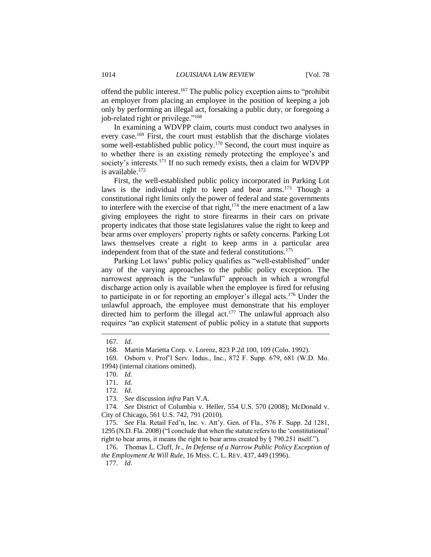offend the public interest.<sup>167</sup> The public policy exception aims to "prohibit an employer from placing an employee in the position of keeping a job only by performing an illegal act, forsaking a public duty, or foregoing a job-related right or privilege."<sup>168</sup>

In examining a WDVPP claim, courts must conduct two analyses in every case.<sup>169</sup> First, the court must establish that the discharge violates some well-established public policy.<sup>170</sup> Second, the court must inquire as to whether there is an existing remedy protecting the employee's and society's interests.<sup>171</sup> If no such remedy exists, then a claim for WDVPP is available.<sup>172</sup>

First, the well-established public policy incorporated in Parking Lot laws is the individual right to keep and bear arms.<sup>173</sup> Though a constitutional right limits only the power of federal and state governments to interfere with the exercise of that right, $174$  the mere enactment of a law giving employees the right to store firearms in their cars on private property indicates that those state legislatures value the right to keep and bear arms over employers' property rights or safety concerns. Parking Lot laws themselves create a right to keep arms in a particular area independent from that of the state and federal constitutions.<sup>175</sup>

Parking Lot laws' public policy qualifies as "well-established" under any of the varying approaches to the public policy exception. The narrowest approach is the "unlawful" approach in which a wrongful discharge action only is available when the employee is fired for refusing to participate in or for reporting an employer's illegal acts.<sup>176</sup> Under the unlawful approach, the employee must demonstrate that his employer directed him to perform the illegal act.<sup>177</sup> The unlawful approach also requires "an explicit statement of public policy in a statute that supports

 $\overline{a}$ 

175. *See* Fla. Retail Fed'n, Inc. v. Att'y. Gen. of Fla., 576 F. Supp. 2d 1281, 1295 (N.D. Fla. 2008) ("I conclude that when the statute refers to the 'constitutional' right to bear arms, it means the right to bear arms created by § 790.251 itself.").

176. Thomas L. Cluff, Jr., *In Defense of a Narrow Public Policy Exception of the Employment At Will Rule*, 16 MISS. C. L. REV. 437, 449 (1996).

177. *Id.*

<sup>167.</sup> *Id.*

<sup>168.</sup> Martin Marietta Corp. v. Lorenz, 823 P.2d 100, 109 (Colo. 1992).

<sup>169.</sup> Osborn v. Prof'l Serv. Indus., Inc., 872 F. Supp. 679, 681 (W.D. Mo. 1994) (internal citations omitted).

<sup>170.</sup> *Id.*

<sup>171.</sup> *Id.*

<sup>172.</sup> *Id.*

<sup>173.</sup> *See* discussion *infra* Part V.A.

<sup>174.</sup> *See* District of Columbia v. Heller, 554 U.S. 570 (2008); McDonald v. City of Chicago, 561 U.S. 742, 791 (2010).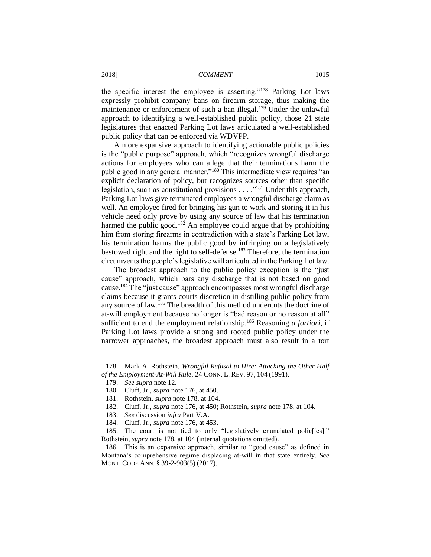the specific interest the employee is asserting."<sup>178</sup> Parking Lot laws expressly prohibit company bans on firearm storage, thus making the maintenance or enforcement of such a ban illegal.<sup>179</sup> Under the unlawful approach to identifying a well-established public policy, those 21 state legislatures that enacted Parking Lot laws articulated a well-established public policy that can be enforced via WDVPP.

A more expansive approach to identifying actionable public policies is the "public purpose" approach, which "recognizes wrongful discharge actions for employees who can allege that their terminations harm the public good in any general manner."<sup>180</sup> This intermediate view requires "an explicit declaration of policy, but recognizes sources other than specific legislation, such as constitutional provisions . . . ."<sup>181</sup> Under this approach, Parking Lot laws give terminated employees a wrongful discharge claim as well. An employee fired for bringing his gun to work and storing it in his vehicle need only prove by using any source of law that his termination harmed the public good.<sup>182</sup> An employee could argue that by prohibiting him from storing firearms in contradiction with a state's Parking Lot law, his termination harms the public good by infringing on a legislatively bestowed right and the right to self-defense.<sup>183</sup> Therefore, the termination circumvents the people's legislative will articulated in the Parking Lot law.

The broadest approach to the public policy exception is the "just cause" approach, which bars any discharge that is not based on good cause.<sup>184</sup> The "just cause" approach encompasses most wrongful discharge claims because it grants courts discretion in distilling public policy from any source of law.<sup>185</sup> The breadth of this method undercuts the doctrine of at-will employment because no longer is "bad reason or no reason at all" sufficient to end the employment relationship.<sup>186</sup> Reasoning *a fortiori*, if Parking Lot laws provide a strong and rooted public policy under the narrower approaches, the broadest approach must also result in a tort

<sup>178.</sup> Mark A. Rothstein, *Wrongful Refusal to Hire: Attacking the Other Half of the Employment-At-Will Rule*, 24 CONN. L. REV. 97, 104 (1991).

<sup>179.</sup> *See supra* note 12.

<sup>180.</sup> Cluff, Jr., *supra* note 176, at 450.

<sup>181.</sup> Rothstein, *supra* note 178, at 104.

<sup>182.</sup> Cluff, Jr., *supra* note 176, at 450; Rothstein, *supra* note 178, at 104.

<sup>183.</sup> *See* discussion *infra* Part V.A.

<sup>184.</sup> Cluff, Jr., *supra* note 176, at 453.

<sup>185.</sup> The court is not tied to only "legislatively enunciated polic[ies]." Rothstein, *supra* note 178, at 104 (internal quotations omitted).

<sup>186.</sup> This is an expansive approach, similar to "good cause" as defined in Montana's comprehensive regime displacing at-will in that state entirely. *See*  MONT. CODE ANN. § 39-2-903(5) (2017).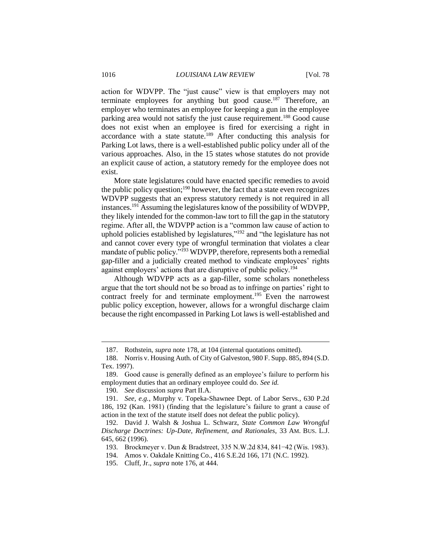action for WDVPP. The "just cause" view is that employers may not terminate employees for anything but good cause.<sup>187</sup> Therefore, an employer who terminates an employee for keeping a gun in the employee parking area would not satisfy the just cause requirement.<sup>188</sup> Good cause does not exist when an employee is fired for exercising a right in accordance with a state statute.<sup>189</sup> After conducting this analysis for Parking Lot laws, there is a well-established public policy under all of the various approaches. Also, in the 15 states whose statutes do not provide an explicit cause of action, a statutory remedy for the employee does not exist.

More state legislatures could have enacted specific remedies to avoid the public policy question; $190$  however, the fact that a state even recognizes WDVPP suggests that an express statutory remedy is not required in all instances.<sup>191</sup> Assuming the legislatures know of the possibility of WDVPP, they likely intended for the common-law tort to fill the gap in the statutory regime. After all, the WDVPP action is a "common law cause of action to uphold policies established by legislatures,"<sup>192</sup> and "the legislature has not and cannot cover every type of wrongful termination that violates a clear mandate of public policy."<sup>193</sup> WDVPP, therefore, represents both a remedial gap-filler and a judicially created method to vindicate employees' rights against employers' actions that are disruptive of public policy.<sup>194</sup>

Although WDVPP acts as a gap-filler, some scholars nonetheless argue that the tort should not be so broad as to infringe on parties' right to contract freely for and terminate employment.<sup>195</sup> Even the narrowest public policy exception, however, allows for a wrongful discharge claim because the right encompassed in Parking Lot laws is well-established and

<sup>187.</sup> Rothstein, *supra* note 178, at 104 (internal quotations omitted).

<sup>188.</sup> Norris v. Housing Auth. of City of Galveston, 980 F. Supp. 885, 894 (S.D. Tex. 1997).

<sup>189.</sup> Good cause is generally defined as an employee's failure to perform his employment duties that an ordinary employee could do. *See id.*

<sup>190.</sup> *See* discussion *supra* Part II.A.

<sup>191.</sup> *See, e.g.*, Murphy v. Topeka-Shawnee Dept. of Labor Servs., 630 P.2d 186, 192 (Kan. 1981) (finding that the legislature's failure to grant a cause of action in the text of the statute itself does not defeat the public policy).

<sup>192.</sup> David J. Walsh & Joshua L. Schwarz, *State Common Law Wrongful Discharge Doctrines: Up-Date, Refinement, and Rationales*, 33 AM. BUS. L.J. 645, 662 (1996).

<sup>193.</sup> Brockmeyer v. Dun & Bradstreet, 335 N.W.2d 834, 841−42 (Wis. 1983).

<sup>194.</sup> Amos v. Oakdale Knitting Co., 416 S.E.2d 166, 171 (N.C. 1992).

<sup>195.</sup> Cluff, Jr., *supra* note 176, at 444.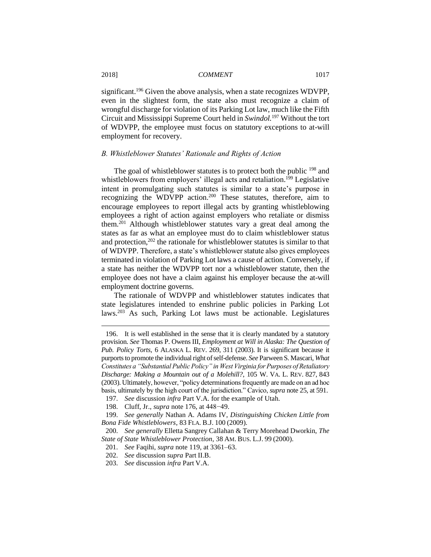significant.<sup>196</sup> Given the above analysis, when a state recognizes WDVPP, even in the slightest form, the state also must recognize a claim of wrongful discharge for violation of its Parking Lot law, much like the Fifth Circuit and Mississippi Supreme Court held in *Swindol.*<sup>197</sup> Without the tort of WDVPP, the employee must focus on statutory exceptions to at-will employment for recovery.

#### *B. Whistleblower Statutes' Rationale and Rights of Action*

The goal of whistleblower statutes is to protect both the public <sup>198</sup> and whistleblowers from employers' illegal acts and retaliation.<sup>199</sup> Legislative intent in promulgating such statutes is similar to a state's purpose in recognizing the WDVPP action.<sup>200</sup> These statutes, therefore, aim to encourage employees to report illegal acts by granting whistleblowing employees a right of action against employers who retaliate or dismiss them.<sup>201</sup> Although whistleblower statutes vary a great deal among the states as far as what an employee must do to claim whistleblower status and protection,<sup>202</sup> the rationale for whistleblower statutes is similar to that of WDVPP. Therefore, a state's whistleblower statute also gives employees terminated in violation of Parking Lot laws a cause of action. Conversely, if a state has neither the WDVPP tort nor a whistleblower statute, then the employee does not have a claim against his employer because the at-will employment doctrine governs.

The rationale of WDVPP and whistleblower statutes indicates that state legislatures intended to enshrine public policies in Parking Lot laws.<sup>203</sup> As such, Parking Lot laws must be actionable. Legislatures

<sup>196.</sup> It is well established in the sense that it is clearly mandated by a statutory provision. *See* Thomas P. Owens III, *Employment at Will in Alaska: The Question of Pub. Policy Torts*, 6 ALASKA L. REV. 269, 311 (2003). It is significant because it purports to promote the individual right of self-defense. *See* Parween S. Mascari, *What Constitutes a "Substantial Public Policy" in West Virginia for Purposes of Retaliatory Discharge: Making a Mountain out of a Molehill?*, 105 W. VA. L. REV. 827, 843 (2003). Ultimately, however, "policy determinations frequently are made on an ad hoc basis, ultimately by the high court of the jurisdiction." Cavico, *supra* note 25, at 591.

<sup>197.</sup> *See* discussion *infra* Part V.A. for the example of Utah.

<sup>198.</sup> Cluff, Jr., *supra* note 176, at 448−49.

<sup>199.</sup> *See generally* Nathan A. Adams IV, *Distinguishing Chicken Little from Bona Fide Whistleblowers*, 83 FLA. B.J. 100 (2009).

<sup>200.</sup> *See generally* Elletta Sangrey Callahan & Terry Morehead Dworkin, *The State of State Whistleblower Protection*, 38 AM. BUS. L.J. 99 (2000).

<sup>201.</sup> *See* Faqihi, *supra* note 119, at 3361–63.

<sup>202.</sup> *See* discussion *supra* Part II.B.

<sup>203.</sup> *See* discussion *infra* Part V.A.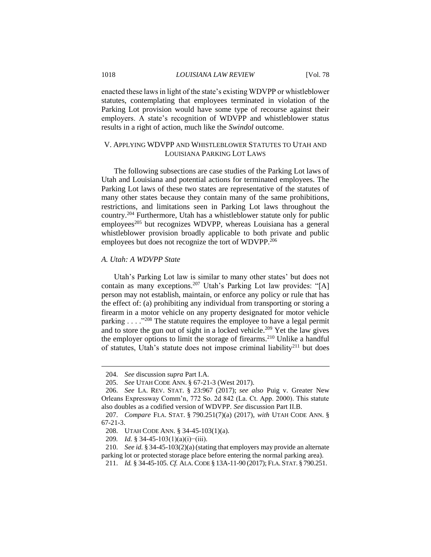enacted these laws in light of the state's existing WDVPP or whistleblower statutes, contemplating that employees terminated in violation of the Parking Lot provision would have some type of recourse against their employers. A state's recognition of WDVPP and whistleblower status results in a right of action, much like the *Swindol* outcome.

# V. APPLYING WDVPP AND WHISTLEBLOWER STATUTES TO UTAH AND LOUISIANA PARKING LOT LAWS

The following subsections are case studies of the Parking Lot laws of Utah and Louisiana and potential actions for terminated employees. The Parking Lot laws of these two states are representative of the statutes of many other states because they contain many of the same prohibitions, restrictions, and limitations seen in Parking Lot laws throughout the country.<sup>204</sup> Furthermore, Utah has a whistleblower statute only for public employees<sup>205</sup> but recognizes WDVPP, whereas Louisiana has a general whistleblower provision broadly applicable to both private and public employees but does not recognize the tort of WDVPP.<sup>206</sup>

#### *A. Utah: A WDVPP State*

Utah's Parking Lot law is similar to many other states' but does not contain as many exceptions.<sup>207</sup> Utah's Parking Lot law provides: "[A] person may not establish, maintain, or enforce any policy or rule that has the effect of: (a) prohibiting any individual from transporting or storing a firearm in a motor vehicle on any property designated for motor vehicle parking  $\ldots$  ."<sup>208</sup> The statute requires the employee to have a legal permit and to store the gun out of sight in a locked vehicle.<sup>209</sup> Yet the law gives the employer options to limit the storage of firearms.<sup>210</sup> Unlike a handful of statutes, Utah's statute does not impose criminal liability<sup>211</sup> but does

<sup>204.</sup> *See* discussion *supra* Part I.A.

<sup>205.</sup> *See* UTAH CODE ANN. § 67-21-3 (West 2017).

<sup>206.</sup> *See* LA. REV. STAT. § 23:967 (2017); *see also* Puig v. Greater New Orleans Expressway Comm'n, 772 So. 2d 842 (La. Ct. App. 2000). This statute also doubles as a codified version of WDVPP. *See* discussion Part II.B.

<sup>207.</sup> *Compare* FLA. STAT. § 790.251(7)(a) (2017), *with* UTAH CODE ANN. § 67-21-3.

<sup>208.</sup> UTAH CODE ANN. § 34-45-103(1)(a).

<sup>209</sup>*. Id.* § 34-45-103(1)(a)(i)−(iii).

<sup>210.</sup> *See id.* § 34-45-103(2)(a)(stating that employers may provide an alternate parking lot or protected storage place before entering the normal parking area).

<sup>211.</sup> *Id.* § 34-45-105. *Cf.* ALA. CODE § 13A-11-90 (2017); FLA. STAT. § 790.251.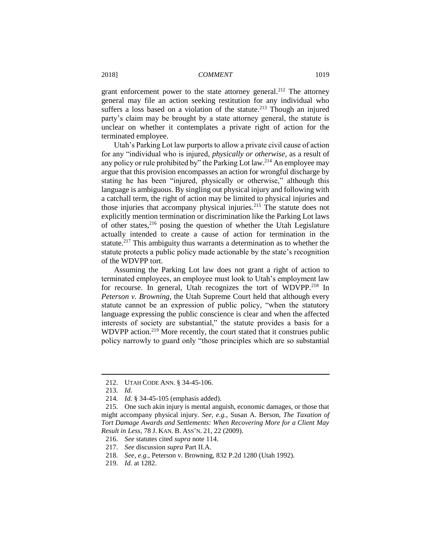grant enforcement power to the state attorney general.<sup>212</sup> The attorney general may file an action seeking restitution for any individual who suffers a loss based on a violation of the statute.<sup>213</sup> Though an injured party's claim may be brought by a state attorney general, the statute is unclear on whether it contemplates a private right of action for the terminated employee.

Utah's Parking Lot law purports to allow a private civil cause of action for any "individual who is injured, *physically or otherwise*, as a result of any policy or rule prohibited by" the Parking Lot law.<sup>214</sup> An employee may argue that this provision encompasses an action for wrongful discharge by stating he has been "injured, physically or otherwise," although this language is ambiguous. By singling out physical injury and following with a catchall term, the right of action may be limited to physical injuries and those injuries that accompany physical injuries.<sup>215</sup> The statute does not explicitly mention termination or discrimination like the Parking Lot laws of other states, $216$  posing the question of whether the Utah Legislature actually intended to create a cause of action for termination in the statute.<sup>217</sup> This ambiguity thus warrants a determination as to whether the statute protects a public policy made actionable by the state's recognition of the WDVPP tort.

Assuming the Parking Lot law does not grant a right of action to terminated employees, an employee must look to Utah's employment law for recourse. In general, Utah recognizes the tort of WDVPP.<sup>218</sup> In *Peterson v. Browning*, the Utah Supreme Court held that although every statute cannot be an expression of public policy, "when the statutory language expressing the public conscience is clear and when the affected interests of society are substantial," the statute provides a basis for a WDVPP action.<sup>219</sup> More recently, the court stated that it construes public policy narrowly to guard only "those principles which are so substantial

<sup>212.</sup> UTAH CODE ANN. § 34-45-106.

<sup>213.</sup> *Id.*

<sup>214</sup>*. Id.* § 34-45-105 (emphasis added).

<sup>215.</sup> One such akin injury is mental anguish, economic damages, or those that might accompany physical injury. *See, e.g.*, Susan A. Berson, *The Taxation of Tort Damage Awards and Settlements: When Recovering More for a Client May Result in Less*, 78 J. KAN. B. ASS'N. 21, 22 (2009).

<sup>216.</sup> *See* statutes cited *supra* note 114.

<sup>217.</sup> *See* discussion *supra* Part II.A.

<sup>218.</sup> *See, e.g.*, Peterson v. Browning, 832 P.2d 1280 (Utah 1992).

<sup>219.</sup> *Id.* at 1282.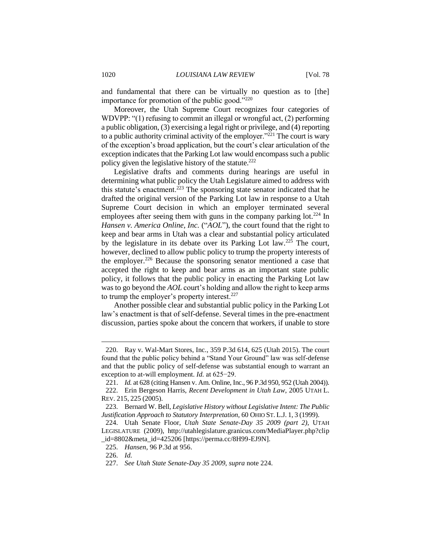and fundamental that there can be virtually no question as to [the] importance for promotion of the public good."<sup>220</sup>

Moreover, the Utah Supreme Court recognizes four categories of WDVPP: "(1) refusing to commit an illegal or wrongful act, (2) performing a public obligation, (3) exercising a legal right or privilege, and (4) reporting to a public authority criminal activity of the employer."<sup>221</sup> The court is wary of the exception's broad application, but the court's clear articulation of the exception indicates that the Parking Lot law would encompass such a public policy given the legislative history of the statute.<sup>222</sup>

Legislative drafts and comments during hearings are useful in determining what public policy the Utah Legislature aimed to address with this statute's enactment.<sup>223</sup> The sponsoring state senator indicated that he drafted the original version of the Parking Lot law in response to a Utah Supreme Court decision in which an employer terminated several employees after seeing them with guns in the company parking  $lot.^{224}$  In *Hansen v. America Online, Inc.* ("*AOL*"), the court found that the right to keep and bear arms in Utah was a clear and substantial policy articulated by the legislature in its debate over its Parking Lot law.<sup>225</sup> The court, however, declined to allow public policy to trump the property interests of the employer.<sup>226</sup> Because the sponsoring senator mentioned a case that accepted the right to keep and bear arms as an important state public policy, it follows that the public policy in enacting the Parking Lot law was to go beyond the *AOL* court's holding and allow the right to keep arms to trump the employer's property interest.<sup>227</sup>

Another possible clear and substantial public policy in the Parking Lot law's enactment is that of self-defense. Several times in the pre-enactment discussion, parties spoke about the concern that workers, if unable to store

<sup>220.</sup> Ray v. Wal-Mart Stores, Inc., 359 P.3d 614, 625 (Utah 2015). The court found that the public policy behind a "Stand Your Ground" law was self-defense and that the public policy of self-defense was substantial enough to warrant an exception to at-will employment. *Id.* at 625−29.

<sup>221.</sup> *Id.* at 628 (citing Hansen v. Am. Online, Inc., 96 P.3d 950, 952 (Utah 2004)).

<sup>222.</sup> Erin Bergeson Harris, *Recent Development in Utah Law*, 2005 UTAH L. REV. 215, 225 (2005).

<sup>223.</sup> Bernard W. Bell, *Legislative History without Legislative Intent: The Public Justification Approach to Statutory Interpretation*, 60 OHIO ST. L.J. 1, 3 (1999).

<sup>224.</sup> Utah Senate Floor, *Utah State Senate-Day 35 2009 (part 2)*, UTAH LEGISLATURE (2009), http://utahlegislature.granicus.com/MediaPlayer.php?clip  $_id=8802\&$ meta\_id=425206 [https://perma.cc/8H99-EJ9N].

<sup>225.</sup> *Hansen*, 96 P.3d at 956.

<sup>226.</sup> *Id.*

<sup>227.</sup> *See Utah State Senate-Day 35 2009*, *supra* note 224.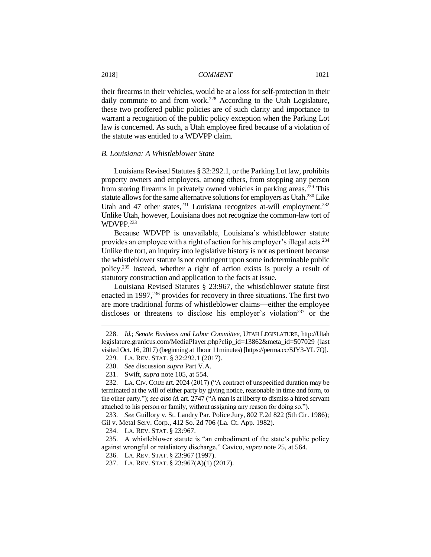their firearms in their vehicles, would be at a loss for self-protection in their daily commute to and from work.<sup>228</sup> According to the Utah Legislature, these two proffered public policies are of such clarity and importance to warrant a recognition of the public policy exception when the Parking Lot law is concerned. As such, a Utah employee fired because of a violation of the statute was entitled to a WDVPP claim.

#### *B. Louisiana: A Whistleblower State*

Louisiana Revised Statutes § 32:292.1, or the Parking Lot law, prohibits property owners and employers, among others, from stopping any person from storing firearms in privately owned vehicles in parking areas.<sup>229</sup> This statute allows for the same alternative solutions for employers as Utah.<sup>230</sup> Like Utah and 47 other states, $^{231}$  Louisiana recognizes at-will employment. $^{232}$ Unlike Utah, however, Louisiana does not recognize the common-law tort of WDVPP.<sup>233</sup>

Because WDVPP is unavailable, Louisiana's whistleblower statute provides an employee with a right of action for his employer's illegal acts.<sup>234</sup> Unlike the tort, an inquiry into legislative history is not as pertinent because the whistleblower statute is not contingent upon some indeterminable public policy.<sup>235</sup> Instead, whether a right of action exists is purely a result of statutory construction and application to the facts at issue.

Louisiana Revised Statutes § 23:967, the whistleblower statute first enacted in 1997, $^{236}$  provides for recovery in three situations. The first two are more traditional forms of whistleblower claims—either the employee discloses or threatens to disclose his employer's violation<sup>237</sup> or the

<sup>228.</sup> *Id.*; *Senate Business and Labor Committee*, UTAH LEGISLATURE, http://Utah legislature.granicus.com/MediaPlayer.php?clip\_id=13862&meta\_id=507029 (last visited Oct. 16, 2017) (beginning at 1hour 11minutes) [https://perma.cc/SJY3-YL 7Q]. 229. LA. REV. STAT. § 32:292.1 (2017).

<sup>230.</sup> *See* discussion *supra* Part V.A.

<sup>231.</sup> Swift, *supra* note 105, at 554.

<sup>232.</sup> LA. CIV. CODE art. 2024 (2017) ("A contract of unspecified duration may be terminated at the will of either party by giving notice, reasonable in time and form, to the other party."); *see also id.* art. 2747 ("A man is at liberty to dismiss a hired servant attached to his person or family, without assigning any reason for doing so.").

<sup>233.</sup> *See* Guillory v. St. Landry Par. Police Jury, 802 F.2d 822 (5th Cir. 1986); Gil v. Metal Serv. Corp., 412 So. 2d 706 (La. Ct. App. 1982).

<sup>234.</sup> LA. REV. STAT. § 23:967.

<sup>235.</sup> A whistleblower statute is "an embodiment of the state's public policy against wrongful or retaliatory discharge." Cavico, *supra* note 25, at 564.

<sup>236.</sup> LA. REV. STAT. § 23:967 (1997).

<sup>237.</sup> LA. REV. STAT. § 23:967(A)(1) (2017).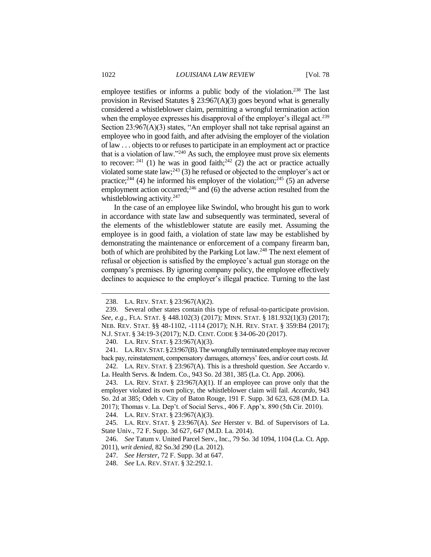employee testifies or informs a public body of the violation.<sup>238</sup> The last provision in Revised Statutes § 23:967(A)(3) goes beyond what is generally considered a whistleblower claim, permitting a wrongful termination action when the employee expresses his disapproval of the employer's illegal act.<sup>239</sup> Section  $23:967(A)(3)$  states, "An employer shall not take reprisal against an employee who in good faith, and after advising the employer of the violation of law . . . objects to or refuses to participate in an employment act or practice that is a violation of law."<sup>240</sup> As such, the employee must prove six elements to recover: <sup>241</sup> (1) he was in good faith;<sup>242</sup> (2) the act or practice actually violated some state law;<sup>243</sup> (3) he refused or objected to the employer's act or practice;<sup>244</sup> (4) he informed his employer of the violation;<sup>245</sup> (5) an adverse employment action occurred;<sup>246</sup> and (6) the adverse action resulted from the whistleblowing activity.<sup>247</sup>

In the case of an employee like Swindol, who brought his gun to work in accordance with state law and subsequently was terminated, several of the elements of the whistleblower statute are easily met. Assuming the employee is in good faith, a violation of state law may be established by demonstrating the maintenance or enforcement of a company firearm ban, both of which are prohibited by the Parking Lot law.<sup>248</sup> The next element of refusal or objection is satisfied by the employee's actual gun storage on the company's premises. By ignoring company policy, the employee effectively declines to acquiesce to the employer's illegal practice. Turning to the last

<sup>238.</sup> LA. REV. STAT. § 23:967(A)(2).

<sup>239.</sup> Several other states contain this type of refusal-to-participate provision. *See, e.g.*, FLA. STAT. § 448.102(3) (2017); MINN. STAT. § 181.932(1)(3) (2017); NEB. REV. STAT. §§ 48-1102, -1114 (2017); N.H. REV. STAT. § 359:B4 (2017); N.J. STAT. § 34:19-3 (2017); N.D. CENT. CODE § 34-06-20 (2017).

<sup>240.</sup> LA. REV. STAT. § 23:967(A)(3).

<sup>241.</sup> LA.REV.STAT.§23:967(B).The wrongfully terminated employee may recover back pay, reinstatement, compensatory damages, attorneys' fees, and/or court costs. *Id.* 242. LA. REV. STAT. § 23:967(A). This is a threshold question. *See* Accardo v.

La. Health Servs. & Indem. Co., 943 So. 2d 381, 385 (La. Ct. App. 2006).

<sup>243.</sup> LA. REV. STAT.  $\S$  23:967(A)(1). If an employee can prove only that the employer violated its own policy, the whistleblower claim will fail. *Accardo,* 943 So. 2d at 385; Odeh v. City of Baton Rouge, 191 F. Supp. 3d 623, 628 (M.D. La. 2017); Thomas v. La. Dep't. of Social Servs., 406 F. App'x. 890 (5th Cir. 2010).

<sup>244.</sup> LA. REV. STAT. § 23:967(A)(3).

<sup>245.</sup> LA. REV. STAT. § 23:967(A). *See* Herster v. Bd. of Supervisors of La. State Univ., 72 F. Supp. 3d 627, 647 (M.D. La. 2014).

<sup>246.</sup> *See* Tatum v. United Parcel Serv., Inc., 79 So. 3d 1094, 1104 (La. Ct. App. 2011), *writ denied*, 82 So.3d 290 (La. 2012).

<sup>247.</sup> *See Herster*, 72 F. Supp. 3d at 647.

<sup>248.</sup> *See* LA. REV. STAT. § 32:292.1.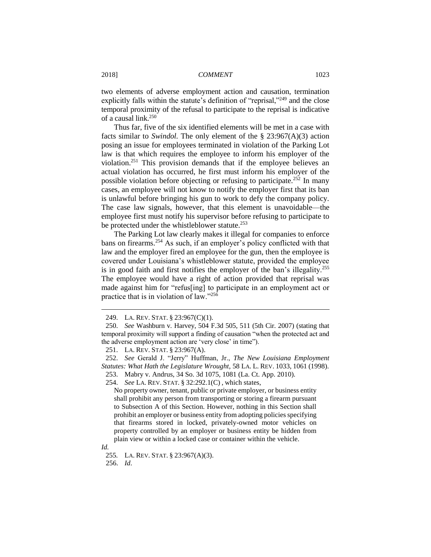two elements of adverse employment action and causation, termination explicitly falls within the statute's definition of "reprisal,"<sup>249</sup> and the close temporal proximity of the refusal to participate to the reprisal is indicative of a causal link.<sup>250</sup>

Thus far, five of the six identified elements will be met in a case with facts similar to *Swindol.* The only element of the § 23:967(A)(3) action posing an issue for employees terminated in violation of the Parking Lot law is that which requires the employee to inform his employer of the violation.<sup>251</sup> This provision demands that if the employee believes an actual violation has occurred, he first must inform his employer of the possible violation before objecting or refusing to participate.<sup>252</sup> In many cases, an employee will not know to notify the employer first that its ban is unlawful before bringing his gun to work to defy the company policy. The case law signals, however, that this element is unavoidable—the employee first must notify his supervisor before refusing to participate to be protected under the whistleblower statute.<sup>253</sup>

The Parking Lot law clearly makes it illegal for companies to enforce bans on firearms.<sup>254</sup> As such, if an employer's policy conflicted with that law and the employer fired an employee for the gun, then the employee is covered under Louisiana's whistleblower statute, provided the employee is in good faith and first notifies the employer of the ban's illegality.<sup>255</sup> The employee would have a right of action provided that reprisal was made against him for "refus[ing] to participate in an employment act or practice that is in violation of law."<sup>256</sup>

254. *See* LA. REV. STAT. § 32:292.1(C) , which states,

No property owner, tenant, public or private employer, or business entity shall prohibit any person from transporting or storing a firearm pursuant to Subsection A of this Section. However, nothing in this Section shall prohibit an employer or business entity from adopting policies specifying that firearms stored in locked, privately-owned motor vehicles on property controlled by an employer or business entity be hidden from plain view or within a locked case or container within the vehicle.

*Id.*

 $\overline{a}$ 

256. *Id*.

<sup>249.</sup> LA. REV. STAT. § 23:967(C)(1).

<sup>250.</sup> *See* Washburn v. Harvey, 504 F.3d 505, 511 (5th Cir. 2007) (stating that temporal proximity will support a finding of causation "when the protected act and the adverse employment action are 'very close' in time").

<sup>251.</sup> LA. REV. STAT. § 23:967(A).

<sup>252.</sup> *See* Gerald J. "Jerry" Huffman, Jr., *The New Louisiana Employment Statutes: What Hath the Legislature Wrought*, 58 LA. L. REV. 1033, 1061 (1998).

<sup>253.</sup> Mabry v. Andrus, 34 So. 3d 1075, 1081 (La. Ct. App. 2010).

<sup>255</sup>*.* LA. REV. STAT. § 23:967(A)(3).